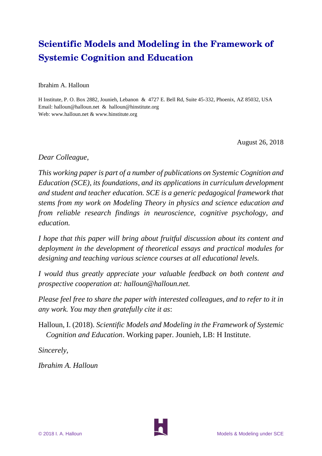# **Scientific Models and Modeling in the Framework of Systemic Cognition and Education**

Ibrahim A. Halloun

H Institute, P. O. Box 2882, Jounieh, Lebanon & 4727 E. Bell Rd, Suite 45-332, Phoenix, AZ 85032, USA Email: halloun@halloun.net & halloun@hinstitute.org Web: www.halloun.net & www.hinstitute.org

August 26, 2018

*Dear Colleague,*

*This working paper is part of a number of publications on Systemic Cognition and Education (SCE), its foundations, and its applications in curriculum development and student and teacher education. SCE is a generic pedagogical framework that stems from my work on Modeling Theory in physics and science education and from reliable research findings in neuroscience, cognitive psychology, and education.*

*I hope that this paper will bring about fruitful discussion about its content and deployment in the development of theoretical essays and practical modules for designing and teaching various science courses at all educational levels.*

*I would thus greatly appreciate your valuable feedback on both content and prospective cooperation at: halloun@halloun.net.*

*Please feel free to share the paper with interested colleagues, and to refer to it in any work. You may then gratefully cite it as*:

Halloun, I. (2018). *Scientific Models and Modeling in the Framework of Systemic Cognition and Education*. Working paper. Jounieh, LB: H Institute.

*Sincerely,*

*Ibrahim A. Halloun*

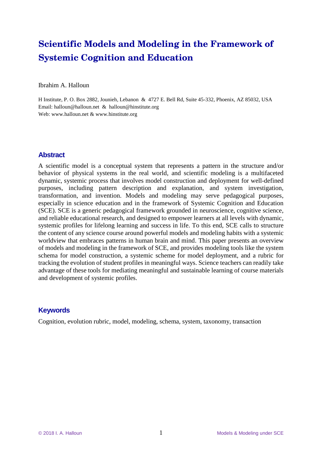# **Scientific Models and Modeling in the Framework of Systemic Cognition and Education**

Ibrahim A. Halloun

H Institute, P. O. Box 2882, Jounieh, Lebanon & 4727 E. Bell Rd, Suite 45-332, Phoenix, AZ 85032, USA Email: halloun@halloun.net & halloun@hinstitute.org Web: www.halloun.net & www.hinstitute.org

## **Abstract**

A scientific model is a conceptual system that represents a pattern in the structure and/or behavior of physical systems in the real world, and scientific modeling is a multifaceted dynamic, systemic process that involves model construction and deployment for well-defined purposes, including pattern description and explanation, and system investigation, transformation, and invention. Models and modeling may serve pedagogical purposes, especially in science education and in the framework of Systemic Cognition and Education (SCE). SCE is a generic pedagogical framework grounded in neuroscience, cognitive science, and reliable educational research, and designed to empower learners at all levels with dynamic, systemic profiles for lifelong learning and success in life. To this end, SCE calls to structure the content of any science course around powerful models and modeling habits with a systemic worldview that embraces patterns in human brain and mind. This paper presents an overview of models and modeling in the framework of SCE, and provides modeling tools like the system schema for model construction, a systemic scheme for model deployment, and a rubric for tracking the evolution of student profiles in meaningful ways. Science teachers can readily take advantage of these tools for mediating meaningful and sustainable learning of course materials and development of systemic profiles.

## **Keywords**

Cognition, evolution rubric, model, modeling, schema, system, taxonomy, transaction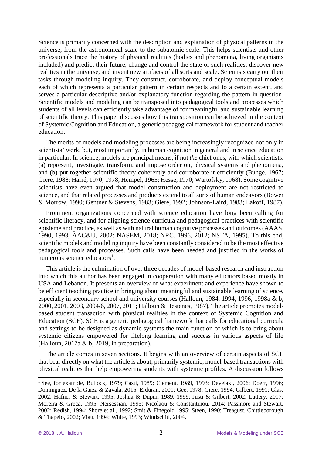Science is primarily concerned with the description and explanation of physical patterns in the universe, from the astronomical scale to the subatomic scale. This helps scientists and other professionals trace the history of physical realities (bodies and phenomena, living organisms included) and predict their future, change and control the state of such realities, discover new realities in the universe, and invent new artifacts of all sorts and scale. Scientists carry out their tasks through modeling inquiry. They construct, corroborate, and deploy conceptual models each of which represents a particular pattern in certain respects and to a certain extent, and serves a particular descriptive and/or explanatory function regarding the pattern in question. Scientific models and modeling can be transposed into pedagogical tools and processes which students of all levels can efficiently take advantage of for meaningful and sustainable learning of scientific theory. This paper discusses how this transposition can be achieved in the context of Systemic Cognition and Education, a generic pedagogical framework for student and teacher education.

The merits of models and modeling processes are being increasingly recognized not only in scientists' work, but, most importantly, in human cognition in general and in science education in particular. In science, models are principal means, if not *the* chief ones, with which scientists: (a) represent, investigate, transform, and impose order on, physical systems and phenomena, and (b) put together scientific theory coherently and corroborate it efficiently (Bunge, 1967; Giere, 1988; Harré, 1970, 1978; Hempel, 1965; Hesse, 1970; Wartofsky, 1968). Some cognitive scientists have even argued that model construction and deployment are not restricted to science, and that related processes and products extend to all sorts of human endeavors (Bower & Morrow, 1990; Gentner & Stevens, 1983; Giere, 1992; Johnson-Laird, 1983; Lakoff, 1987).

Prominent organizations concerned with science education have long been calling for scientific literacy, and for aligning science curricula and pedagogical practices with scientific episteme and practice, as well as with natural human cognitive processes and outcomes (AAAS, 1990, 1993; AAC&U, 2002; NASEM, 2018; NRC, 1996, 2012; NSTA, 1995). To this end, scientific models and modeling inquiry have been constantly considered to be the most effective pedagogical tools and processes. Such calls have been heeded and justified in the works of numerous science educators<sup>1</sup>.

This article is the culmination of over three decades of model-based research and instruction into which this author has been engaged in cooperation with many educators based mostly in USA and Lebanon. It presents an overview of what experiment and experience have shown to be efficient teaching practice in bringing about meaningful and sustainable learning of science, especially in secondary school and university courses (Halloun, 1984, 1994, 1996, 1998a & b, 2000, 2001, 2003, 2004/6, 2007, 2011; Halloun & Hestenes, 1987). The article promotes modelbased student transaction with physical realities in the context of Systemic Cognition and Education (SCE). SCE is a generic pedagogical framework that calls for educational curricula and settings to be designed as dynamic systems the main function of which is to bring about systemic citizens empowered for lifelong learning and success in various aspects of life (Halloun, 2017a & b, 2019, in preparation).

The article comes in seven sections. It begins with an overview of certain aspects of SCE that bear directly on what the article is about, primarily systemic, model-based transactions with physical realities that help empowering students with systemic profiles. A discussion follows

<sup>&</sup>lt;sup>1</sup> See, for example, Bullock, 1979; Casti, 1989; Clement, 1989, 1993; Develaki, 2006; Doerr, 1996; Dominguez, De la Garza & Zavala, 2015; Erduran, 2001; Gee, 1978; Giere, 1994; Gilbert, 1991; Glas, 2002; Hafner & Stewart, 1995; Joshua & Dupin, 1989, 1999; Justi & Gilbert, 2002; Lattery, 2017; Moreira & Greca, 1995; Nersessian, 1995; Nicolaou & Constantinou, 2014; Passmore and Stewart, 2002; Redish, 1994; Shore et al., 1992; Smit & Finegold 1995; Steen, 1990; Treagust, Chittleborough & Thapelo, 2002; Viau, 1994; White, 1993; Windschitl, 2004.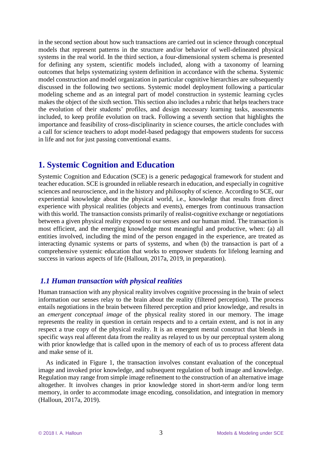in the second section about how such transactions are carried out in science through conceptual models that represent patterns in the structure and/or behavior of well-delineated physical systems in the real world. In the third section, a four-dimensional system schema is presented for defining any system, scientific models included, along with a taxonomy of learning outcomes that helps systematizing system definition in accordance with the schema. Systemic model construction and model organization in particular cognitive hierarchies are subsequently discussed in the following two sections. Systemic model deployment following a particular modeling scheme and as an integral part of model construction in systemic learning cycles makes the object of the sixth section. This section also includes a rubric that helps teachers trace the evolution of their students' profiles, and design necessary learning tasks, assessments included, to keep profile evolution on track. Following a seventh section that highlights the importance and feasibility of cross-disciplinarity in science courses, the article concludes with a call for science teachers to adopt model-based pedagogy that empowers students for success in life and not for just passing conventional exams.

# **1. Systemic Cognition and Education**

Systemic Cognition and Education (SCE) is a generic pedagogical framework for student and teacher education. SCE is grounded in reliable research in education, and especially in cognitive sciences and neuroscience, and in the history and philosophy of science. According to SCE, our experiential knowledge about the physical world, i.e., knowledge that results from direct experience with physical realities (objects and events), emerges from continuous transaction with this world. The transaction consists primarily of realist-cognitive exchange or negotiations between a given physical reality exposed to our senses and our human mind. The transaction is most efficient, and the emerging knowledge most meaningful and productive, when: (a) all entities involved, including the mind of the person engaged in the experience, are treated as interacting dynamic systems or parts of systems, and when (b) the transaction is part of a comprehensive systemic education that works to empower students for lifelong learning and success in various aspects of life (Halloun, 2017a, 2019, in preparation).

## *1.1 Human transaction with physical realities*

Human transaction with any physical reality involves cognitive processing in the brain of select information our senses relay to the brain about the reality (filtered perception). The process entails negotiations in the brain between filtered perception and prior knowledge, and results in an *emergent conceptual image* of the physical reality stored in our memory. The image represents the reality in question in certain respects and to a certain extent, and is not in any respect a true copy of the physical reality. It is an emergent mental construct that blends in specific ways real afferent data from the reality as relayed to us by our perceptual system along with prior knowledge that is called upon in the memory of each of us to process afferent data and make sense of it.

As indicated in Figure 1, the transaction involves constant evaluation of the conceptual image and invoked prior knowledge, and subsequent regulation of both image and knowledge. Regulation may range from simple image refinement to the construction of an alternative image altogether. It involves changes in prior knowledge stored in short-term and/or long term memory, in order to accommodate image encoding, consolidation, and integration in memory (Halloun, 2017a, 2019).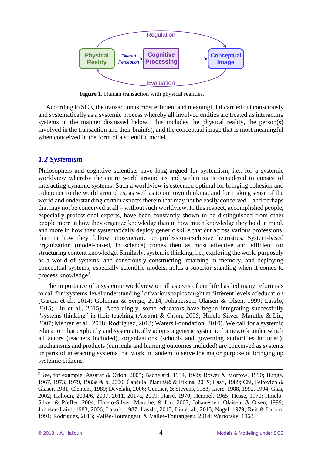

**Figure 1**. Human transaction with physical realities.

According to SCE, the transaction is most efficient and meaningful if carried out consciously and systematically as a systemic process whereby all involved entities are treated as interacting systems in the manner discussed below. This includes the physical reality, the person(s) involved in the transaction and their brain(s), and the conceptual image that is most meaningful when conceived in the form of a scientific model.

#### *1.2 Systemism*

Philosophers and cognitive scientists have long argued for systemism, i.e., for a systemic worldview whereby the entire world around us and within us is considered to consist of interacting dynamic systems. Such a worldview is esteemed optimal for bringing cohesion and coherence to the world around us, as well as to our own thinking, and for making sense of the world and understanding certain aspects therein that may not be easily conceived – and perhaps that may not be conceived at all – without such worldview. In this respect, accomplished people, especially professional experts, have been constantly shown to be distinguished from other people more in how they organize knowledge than in how much knowledge they hold in mind, and more in how they systematically deploy generic skills that cut across various professions, than in how they follow idiosyncratic or profession-exclusive heuristics. System-based organization (model-based, in science) comes then as most effective and efficient for structuring content knowledge. Similarly, systemic thinking, i.e., exploring the world purposely as a world of systems, and consciously constructing, retaining in memory, and deploying conceptual systems, especially scientific models, holds a superior standing when it comes to process knowledge<sup>2</sup>.

The importance of a systemic worldview on all aspects of our life has led many reformists to call for "systems-level understanding" of various topics taught at different levels of education (Garcia et al., 2014; Goleman & Senge, 2014; Johanessen, Olaisen & Olsen, 1999; Laszlo, 2015; Liu et al., 2015). Accordingly, some educators have begun integrating successfully "systems thinking" in their teaching (Assaraf & Orion, 2005; Hmelo-Silver, Marathe & Liu, 2007; Mehren et al., 2018; Rodriguez, 2013; Waters Foundation, 2010). We call for a systemic education that explicitly and systematically adopts a generic systemic framework under which all actors (teachers included), organizations (schools and governing authorities included), mechanisms and products (curricula and learning outcomes included) are conceived as systems or parts of interacting systems that work in tandem to serve the major purpose of bringing up systemic citizens.

<sup>&</sup>lt;sup>2</sup> See, for example, Assaraf & Orion, 2005; Bachelard, 1934, 1949; Bower & Morrow, 1990; Bunge, 1967, 1973, 1979, 1983a & b, 2000; Čančula, Planinšič & Etkina, 2015; Casti, 1989; Chi, Feltovich & Glaser, 1981; Clement, 1989; Develaki, 2006; Gentner, & Stevens, 1983; Giere, 1988, 1992, 1994; Glas, 2002; Halloun, 2004/6, 2007, 2011, 2017a, 2019; Harré, 1970; Hempel, 1965; Hesse, 1970; Hmelo-Silver & Pfeffer, 2004; Hmelo-Silver, Marathe, & Liu, 2007; Johanessen, Olaisen, & Olsen, 1999; Johnson-Laird, 1983, 2006; Lakoff, 1987; Laszlo, 2015; Liu et al., 2015; Nagel, 1979; Reif & Larkin, 1991; Rodriguez, 2013; Vallée-Tourangeau & Vallée-Tourangeau, 2014; Wartofsky, 1968.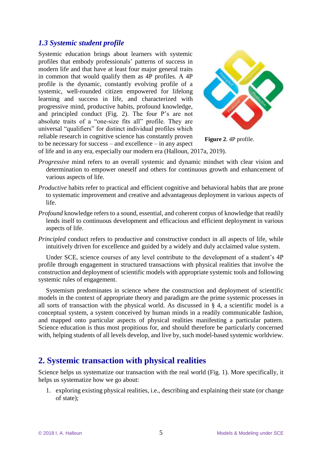## *1.3 Systemic student profile*

Systemic education brings about learners with systemic profiles that embody professionals' patterns of success in modern life and that have at least four major general traits in common that would qualify them as 4P profiles. A 4P profile is the dynamic, constantly evolving profile of a systemic, well-rounded citizen empowered for lifelong learning and success in life, and characterized with progressive mind, productive habits, profound knowledge, and principled conduct (Fig. 2). The four P's are not absolute traits of a "one-size fits all" profile. They are universal "qualifiers" for distinct individual profiles which reliable research in cognitive science has constantly proven to be necessary for success – and excellence – in any aspect



**Figure 2**. 4P profile.

of life and in any era, especially our modern era (Halloun, 2017a, 2019).

- *Progressive* mind refers to an overall systemic and dynamic mindset with clear vision and determination to empower oneself and others for continuous growth and enhancement of various aspects of life.
- *Productive* habits refer to practical and efficient cognitive and behavioral habits that are prone to systematic improvement and creative and advantageous deployment in various aspects of life.
- *Profound* knowledge refers to a sound, essential, and coherent corpus of knowledge that readily lends itself to continuous development and efficacious and efficient deployment in various aspects of life.
- *Principled* conduct refers to productive and constructive conduct in all aspects of life, while intuitively driven for excellence and guided by a widely and duly acclaimed value system.

Under SCE, science courses of any level contribute to the development of a student's 4P profile through engagement in structured transactions with physical realities that involve the construction and deployment of scientific models with appropriate systemic tools and following systemic rules of engagement.

Systemism predominates in science where the construction and deployment of scientific models in the context of appropriate theory and paradigm are the prime systemic processes in all sorts of transaction with the physical world. As discussed in § 4, a scientific model is a conceptual system, a system conceived by human minds in a readily communicable fashion, and mapped onto particular aspects of physical realities manifesting a particular pattern. Science education is thus most propitious for, and should therefore be particularly concerned with, helping students of all levels develop, and live by, such model-based systemic worldview.

# **2. Systemic transaction with physical realities**

Science helps us systematize our transaction with the real world (Fig. 1). More specifically, it helps us systematize how we go about:

1. exploring existing physical realities, i.e., describing and explaining their state (or change of state);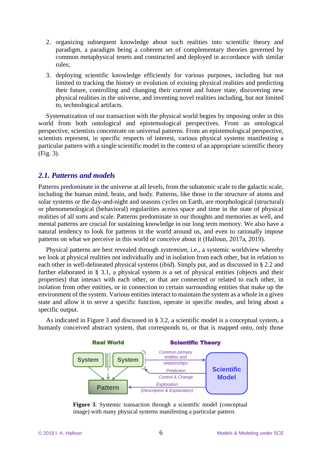- 2. organizing subsequent knowledge about such realities into scientific theory and paradigm, a paradigm being a coherent set of complementary theories governed by common metaphysical tenets and constructed and deployed in accordance with similar rules;
- 3. deploying scientific knowledge efficiently for various purposes, including but not limited to tracking the history or evolution of existing physical realities and predicting their future, controlling and changing their current and future state, discovering new physical realities in the universe, and inventing novel realities including, but not limited to, technological artifacts.

Systematization of our transaction with the physical world begins by imposing order in this world from both ontological and epistemological perspectives. From an ontological perspective, scientists concentrate on universal patterns. From an epistemological perspective, scientists represent, in specific respects of interest, various physical systems manifesting a particular pattern with a single scientific model in the context of an appropriate scientific theory (Fig. 3).

## *2.1. Patterns and models*

Patterns predominate in the universe at all levels, from the subatomic scale to the galactic scale, including the human mind, brain, and body. Patterns, like those in the structure of atoms and solar systems or the day-and-night and seasons cycles on Earth, are morphological (structural) or phenomenological (behavioral) regularities across space and time in the state of physical realities of all sorts and scale. Patterns predominate in our thoughts and memories as well, and mental patterns are crucial for sustaining knowledge in our long term memory. We also have a natural tendency to look for patterns in the world around us, and even to rationally impose patterns on what we perceive in this world or conceive about it (Halloun, 2017a, 2019).

Physical patterns are best revealed through *systemism*, i.e., a systemic worldview whereby we look at physical realities not individually and in isolation from each other, but in relation to each other in well-delineated physical systems (*ibid*). Simply put, and as discussed in § 2.2 and further elaborated in § 3.1, a physical system is a set of physical entities (objects and their properties) that interact with each other, or that are connected or related to each other, in isolation from other entities, or in connection to certain surrounding entities that make up the environment of the system. Various entities interact to maintain the system as a whole in a given state and allow it to serve a specific function, operate in specific modes, and bring about a specific output.

As indicated in Figure 3 and discussed in § 3.2, a scientific model is a conceptual system, a humanly conceived abstract system, that corresponds to, or that is mapped onto, only those



**Figure 3**. Systemic transaction through a scientific model (conceptual image) with many physical systems manifesting a particular pattern.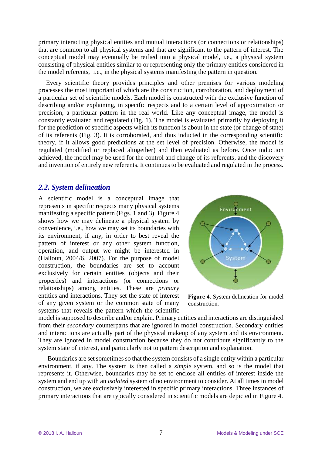primary interacting physical entities and mutual interactions (or connections or relationships) that are common to all physical systems and that are significant to the pattern of interest. The conceptual model may eventually be reified into a physical model, i.e., a physical system consisting of physical entities similar to or representing only the primary entities considered in the model referents, i.e., in the physical systems manifesting the pattern in question.

Every scientific theory provides principles and other premises for various modeling processes the most important of which are the construction, corroboration, and deployment of a particular set of scientific models. Each model is constructed with the exclusive function of describing and/or explaining, in specific respects and to a certain level of approximation or precision, a particular pattern in the real world. Like any conceptual image, the model is constantly evaluated and regulated (Fig. 1). The model is evaluated primarily by deploying it for the prediction of specific aspects which its function is about in the state (or change of state) of its referents (Fig. 3). It is corroborated, and thus inducted in the corresponding scientific theory, if it allows good predictions at the set level of precision. Otherwise, the model is regulated (modified or replaced altogether) and then evaluated as before. Once induction achieved, the model may be used for the control and change of its referents, and the discovery and invention of entirely new referents. It continues to be evaluated and regulated in the process.

#### *2.2. System delineation*

A scientific model is a conceptual image that represents in specific respects many physical systems manifesting a specific pattern (Figs. 1 and 3). Figure 4 shows how we may delineate a physical system by convenience, i.e., how we may set its boundaries with its environment, if any, in order to best reveal the pattern of interest or any other system function, operation, and output we might be interested in (Halloun, 2004/6, 2007). For the purpose of model construction, the boundaries are set to account exclusively for certain entities (objects and their properties) and interactions (or connections or relationships) among entities. These are *primary* entities and interactions. They set the state of interest of any given system or the common state of many systems that reveals the pattern which the scientific



**Figure 4**. System delineation for model construction.

model is supposed to describe and/or explain. Primary entities and interactions are distinguished from their *secondary* counterparts that are ignored in model construction. Secondary entities and interactions are actually part of the physical makeup of any system and its environment. They are ignored in model construction because they do not contribute significantly to the system state of interest, and particularly not to pattern description and explanation.

Boundaries are set sometimes so that the system consists of a single entity within a particular environment, if any. The system is then called a *simple* system, and so is the model that represents it. Otherwise, boundaries may be set to enclose all entities of interest inside the system and end up with an *isolated* system of no environment to consider. At all times in model construction, we are exclusively interested in specific primary interactions. Three instances of primary interactions that are typically considered in scientific models are depicted in Figure 4.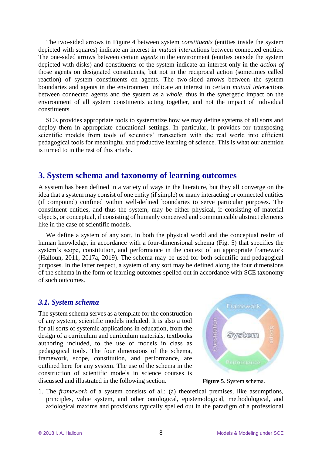The two-sided arrows in Figure 4 between system *constituents* (entities inside the system depicted with squares) indicate an interest in *mutual inter*actions between connected entities. The one-sided arrows between certain *agents* in the environment (entities outside the system depicted with disks) and constituents of the system indicate an interest only in the *action of* those agents on designated constituents, but not in the reciprocal action (sometimes called reaction) of system constituents on agents. The two-sided arrows between the system boundaries and agents in the environment indicate an interest in certain *mutual inter*actions between connected agents and the system as a *whole,* thus in the synergetic impact on the environment of all system constituents acting together, and not the impact of individual constituents.

SCE provides appropriate tools to systematize how we may define systems of all sorts and deploy them in appropriate educational settings. In particular, it provides for transposing scientific models from tools of scientists' transaction with the real world into efficient pedagogical tools for meaningful and productive learning of science. This is what our attention is turned to in the rest of this article.

## **3. System schema and taxonomy of learning outcomes**

A system has been defined in a variety of ways in the literature, but they all converge on the idea that a system may consist of one entity (if simple) or many interacting or connected entities (if compound) confined within well-defined boundaries to serve particular purposes. The constituent entities, and thus the system, may be either physical, if consisting of material objects, or conceptual, if consisting of humanly conceived and communicable abstract elements like in the case of scientific models.

We define a system of any sort, in both the physical world and the conceptual realm of human knowledge, in accordance with a four-dimensional schema (Fig. 5) that specifies the system's scope, constitution, and performance in the context of an appropriate framework (Halloun, 2011, 2017a, 2019). The schema may be used for both scientific and pedagogical purposes. In the latter respect, a system of any sort may be defined along the four dimensions of the schema in the form of learning outcomes spelled out in accordance with SCE taxonomy of such outcomes.

#### *3.1. System schema*

The system schema serves as a template for the construction of any system, scientific models included. It is also a tool for all sorts of systemic applications in education, from the design of a curriculum and curriculum materials, textbooks authoring included, to the use of models in class as pedagogical tools. The four dimensions of the schema, framework, scope, constitution, and performance, are outlined here for any system. The use of the schema in the construction of scientific models in science courses is discussed and illustrated in the following section.



**Figure 5**. System schema.

1. The *framework* of a system consists of all: (a) theoretical premises, like assumptions, principles, value system, and other ontological, epistemological, methodological, and axiological maxims and provisions typically spelled out in the paradigm of a professional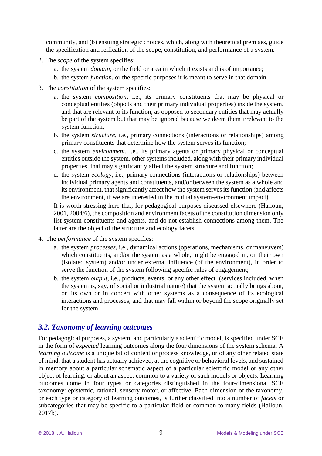community, and (b) ensuing strategic choices, which, along with theoretical premises, guide the specification and reification of the scope, constitution, and performance of a system.

- 2. The *scope* of the system specifies:
	- a. the system *domain*, or the field or area in which it exists and is of importance;
	- b. the system *function*, or the specific purposes it is meant to serve in that domain.
- 3. The *constitution* of the system specifies:
	- a. the system *composition*, i.e., its primary constituents that may be physical or conceptual entities (objects and their primary individual properties) inside the system, and that are relevant to its function, as opposed to secondary entities that may actually be part of the system but that may be ignored because we deem them irrelevant to the system function;
	- b. the system *structure*, i.e., primary connections (interactions or relationships) among primary constituents that determine how the system serves its function;
	- c. the system *environment*, i.e., its primary agents or primary physical or conceptual entities outside the system, other systems included, along with their primary individual properties, that may significantly affect the system structure and function;
	- d. the system *ecology*, i.e., primary connections (interactions or relationships) between individual primary agents and constituents, and/or between the system as a whole and its environment, that significantly affect how the system serves its function (and affects the environment, if we are interested in the mutual system-environment impact).

It is worth stressing here that, for pedagogical purposes discussed elsewhere (Halloun, 2001, 2004/6), the composition and environment facets of the constitution dimension only list system constituents and agents, and do not establish connections among them. The latter are the object of the structure and ecology facets.

- 4. The *performance* of the system specifies:
	- a. the system *processes*, i.e., dynamical actions (operations, mechanisms, or maneuvers) which constituents, and/or the system as a whole, might be engaged in, on their own (isolated system) and/or under external influence (of the environment), in order to serve the function of the system following specific rules of engagement;
	- b. the system *output*, i.e., products, events, or any other effect (services included, when the system is, say, of social or industrial nature) that the system actually brings about, on its own or in concert with other systems as a consequence of its ecological interactions and processes, and that may fall within or beyond the scope originally set for the system.

## *3.2. Taxonomy of learning outcomes*

For pedagogical purposes, a system, and particularly a scientific model, is specified under SCE in the form of *expected* learning outcomes along the four dimensions of the system schema. A *learning outcome* is a unique bit of content or process knowledge, or of any other related state of mind, that a student has actually achieved, at the cognitive or behavioral levels, and sustained in memory about a particular schematic aspect of a particular scientific model or any other object of learning, or about an aspect common to a variety of such models or objects. Learning outcomes come in four types or categories distinguished in the four-dimensional SCE taxonomy: epistemic, rational, sensory-motor, or affective. Each dimension of the taxonomy, or each type or category of learning outcomes, is further classified into a number of *facets* or subcategories that may be specific to a particular field or common to many fields (Halloun, 2017b).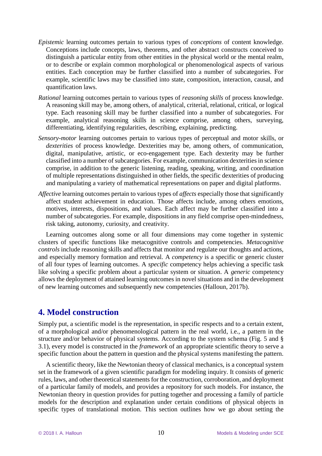- *Epistemic* learning outcomes pertain to various types of *conceptions* of content knowledge. Conceptions include concepts, laws, theorems, and other abstract constructs conceived to distinguish a particular entity from other entities in the physical world or the mental realm, or to describe or explain common morphological or phenomenological aspects of various entities. Each conception may be further classified into a number of subcategories. For example, scientific laws may be classified into state, composition, interaction, causal, and quantification laws.
- *Rational* learning outcomes pertain to various types of *reasoning skills* of process knowledge. A reasoning skill may be, among others, of analytical, criterial, relational, critical, or logical type. Each reasoning skill may be further classified into a number of subcategories. For example, analytical reasoning skills in science comprise, among others, surveying, differentiating, identifying regularities, describing, explaining, predicting.
- *Sensory-motor* learning outcomes pertain to various types of perceptual and motor skills, or *dexterities* of process knowledge. Dexterities may be, among others, of communication, digital, manipulative, artistic, or eco-engagement type. Each dexterity may be further classified into a number of subcategories. For example, communication dexterities in science comprise, in addition to the generic listening, reading, speaking, writing, and coordination of multiple representations distinguished in other fields, the specific dexterities of producing and manipulating a variety of mathematical representations on paper and digital platforms.
- *Affective* learning outcomes pertain to various types of *affects* especially those that significantly affect student achievement in education. Those affects include, among others emotions, motives, interests, dispositions, and values. Each affect may be further classified into a number of subcategories. For example, dispositions in any field comprise open-mindedness, risk taking, autonomy, curiosity, and creativity.

Learning outcomes along some or all four dimensions may come together in systemic clusters of specific functions like metacognitive controls and competencies. *Metacognitive controls* include reasoning skills and affects that monitor and regulate our thoughts and actions, and especially memory formation and retrieval. A *competency* is a specific or generic cluster of all four types of learning outcomes. A *specific* competency helps achieving a specific task like solving a specific problem about a particular system or situation. A *generic* competency allows the deployment of attained learning outcomes in novel situations and in the development of new learning outcomes and subsequently new competencies (Halloun, 2017b).

# **4. Model construction**

Simply put, a scientific model is the representation, in specific respects and to a certain extent, of a morphological and/or phenomenological pattern in the real world, i.e., a pattern in the structure and/or behavior of physical systems. According to the system schema (Fig. 5 and § 3.1), every model is constructed in the *framework* of an appropriate scientific theory to serve a specific function about the pattern in question and the physical systems manifesting the pattern.

A scientific theory, like the Newtonian theory of classical mechanics, is a conceptual system set in the framework of a given scientific paradigm for modeling inquiry. It consists of generic rules, laws, and other theoretical statements for the construction, corroboration, and deployment of a particular family of models, and provides a repository for such models. For instance, the Newtonian theory in question provides for putting together and processing a family of particle models for the description and explanation under certain conditions of physical objects in specific types of translational motion. This section outlines how we go about setting the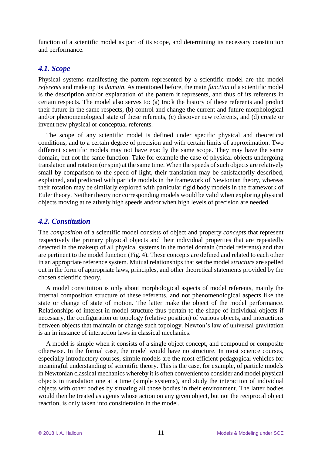function of a scientific model as part of its scope, and determining its necessary constitution and performance.

#### *4.1. Scope*

Physical systems manifesting the pattern represented by a scientific model are the model *referents* and make up its *domain*. As mentioned before, the main *function* of a scientific model is the description and/or explanation of the pattern it represents, and thus of its referents in certain respects. The model also serves to: (a) track the history of these referents and predict their future in the same respects, (b) control and change the current and future morphological and/or phenomenological state of these referents, (c) discover new referents, and (d) create or invent new physical or conceptual referents.

The scope of any scientific model is defined under specific physical and theoretical conditions, and to a certain degree of precision and with certain limits of approximation. Two different scientific models may not have exactly the same scope. They may have the same domain, but not the same function. Take for example the case of physical objects undergoing translation and rotation (or spin) at the same time. When the speeds of such objects are relatively small by comparison to the speed of light, their translation may be satisfactorily described, explained, and predicted with particle models in the framework of Newtonian theory, whereas their rotation may be similarly explored with particular rigid body models in the framework of Euler theory. Neither theory nor corresponding models would be valid when exploring physical objects moving at relatively high speeds and/or when high levels of precision are needed.

## *4.2. Constitution*

The *composition* of a scientific model consists of object and property *concepts* that represent respectively the primary physical objects and their individual properties that are repeatedly detected in the makeup of all physical systems in the model domain (model referents) and that are pertinent to the model function (Fig. 4). These concepts are defined and related to each other in an appropriate reference system. Mutual relationships that set the model *structure* are spelled out in the form of appropriate laws, principles, and other theoretical statements provided by the chosen scientific theory.

A model constitution is only about morphological aspects of model referents, mainly the internal composition structure of these referents, and not phenomenological aspects like the state or change of state of motion. The latter make the object of the model performance. Relationships of interest in model structure thus pertain to the shape of individual objects if necessary, the configuration or topology (relative position) of various objects, and interactions between objects that maintain or change such topology. Newton's law of universal gravitation is an in instance of interaction laws in classical mechanics.

A model is simple when it consists of a single object concept, and compound or composite otherwise. In the formal case, the model would have no structure. In most science courses, especially introductory courses, simple models are the most efficient pedagogical vehicles for meaningful understanding of scientific theory. This is the case, for example, of particle models in Newtonian classical mechanics whereby it is often convenient to consider and model physical objects in translation one at a time (simple systems), and study the interaction of individual objects with other bodies by situating all those bodies in their environment. The latter bodies would then be treated as agents whose action on any given object, but not the reciprocal object reaction, is only taken into consideration in the model.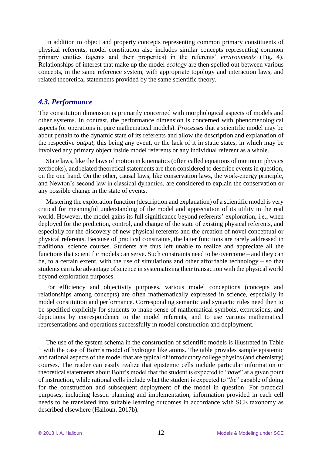In addition to object and property concepts representing common primary constituents of physical referents, model constitution also includes similar concepts representing common primary entities (agents and their properties) in the referents' *environments* (Fig. 4). Relationships of interest that make up the model *ecology* are then spelled out between various concepts, in the same reference system, with appropriate topology and interaction laws, and related theoretical statements provided by the same scientific theory.

#### *4.3. Performance*

The constitution dimension is primarily concerned with morphological aspects of models and other systems. In contrast, the performance dimension is concerned with phenomenological aspects (or operations in pure mathematical models). *Processes* that a scientific model may be about pertain to the dynamic state of its referents and allow the description and explanation of the respective *output*, this being any event, or the lack of it in static states, in which may be involved any primary object inside model referents or any individual referent as a whole.

State laws, like the laws of motion in kinematics (often called equations of motion in physics textbooks), and related theoretical statements are then considered to describe events in question, on the one hand. On the other, causal laws, like conservation laws, the work-energy principle, and Newton's second law in classical dynamics, are considered to explain the conservation or any possible change in the state of events.

Mastering the exploration function (description and explanation) of a scientific model is very critical for meaningful understanding of the model and appreciation of its utility in the real world. However, the model gains its full significance beyond referents' exploration, i.e., when deployed for the prediction, control, and change of the state of existing physical referents, and especially for the discovery of new physical referents and the creation of novel conceptual or physical referents. Because of practical constraints, the latter functions are rarely addressed in traditional science courses. Students are thus left unable to realize and appreciate all the functions that scientific models can serve. Such constraints need to be overcome – and they can be, to a certain extent, with the use of simulations and other affordable technology – so that students can take advantage of science in systematizing their transaction with the physical world beyond exploration purposes.

For efficiency and objectivity purposes, various model conceptions (concepts and relationships among concepts) are often mathematically expressed in science, especially in model constitution and performance. Corresponding semantic and syntactic rules need then to be specified explicitly for students to make sense of mathematical symbols, expressions, and depictions by correspondence to the model referents, and to use various mathematical representations and operations successfully in model construction and deployment.

The use of the system schema in the construction of scientific models is illustrated in Table 1 with the case of Bohr's model of hydrogen like atoms. The table provides sample epistemic and rational aspects of the model that are typical of introductory college physics (and chemistry) courses. The reader can easily realize that epistemic cells include particular information or theoretical statements about Bohr's model that the student is expected to "*have*" at a given point of instruction, while rational cells include what the student is expected to "*be*" capable of doing for the construction and subsequent deployment of the model in question. For practical purposes, including lesson planning and implementation, information provided in each cell needs to be translated into suitable learning outcomes in accordance with SCE taxonomy as described elsewhere (Halloun, 2017b).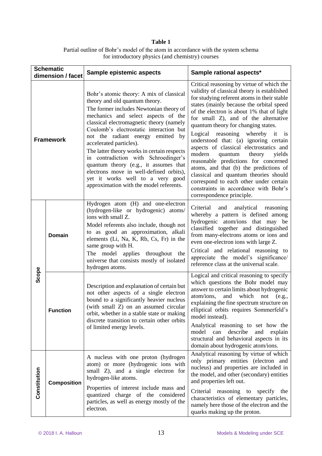#### **Table 1** Partial outline of Bohr's model of the atom in accordance with the system schema for introductory physics (and chemistry) courses

| <b>Schematic</b><br>dimension / facet |                    | Sample epistemic aspects                                                                                                                                                                                                                                                                                                                                                                                                                                                                                                                                                      | Sample rational aspects*                                                                                                                                                                                                                                                                                                                                                                                                                                                                                                                                                                                                                                                                                                   |  |
|---------------------------------------|--------------------|-------------------------------------------------------------------------------------------------------------------------------------------------------------------------------------------------------------------------------------------------------------------------------------------------------------------------------------------------------------------------------------------------------------------------------------------------------------------------------------------------------------------------------------------------------------------------------|----------------------------------------------------------------------------------------------------------------------------------------------------------------------------------------------------------------------------------------------------------------------------------------------------------------------------------------------------------------------------------------------------------------------------------------------------------------------------------------------------------------------------------------------------------------------------------------------------------------------------------------------------------------------------------------------------------------------------|--|
| <b>Framework</b>                      |                    | Bohr's atomic theory: A mix of classical<br>theory and old quantum theory.<br>The former includes Newtonian theory of<br>mechanics and select aspects of the<br>classical electromagnetic theory (namely<br>Coulomb's electrostatic interaction but<br>not the radiant energy emitted by<br>accelerated particles).<br>The latter theory works in certain respects<br>in contradiction with Schroedinger's<br>quantum theory (e.g., it assumes that<br>electrons move in well-defined orbits),<br>yet it works well to a very good<br>approximation with the model referents. | Critical reasoning by virtue of which the<br>validity of classical theory is established<br>for studying referent atoms in their stable<br>states (mainly because the orbital speed<br>of the electron is about 1% that of light<br>for small Z), and of the alternative<br>quantum theory for changing states.<br>Logical reasoning whereby<br>it is<br>understood that: (a) ignoring certain<br>aspects of classical electrostatics and<br>modern<br>quantum theory<br>yields<br>reasonable predictions for concerned<br>atoms, and that (b) the predictions of<br>classical and quantum theories should<br>correspond to each other under certain<br>constraints in accordance with Bohr's<br>correspondence principle. |  |
| Scope                                 | <b>Domain</b>      | Hydrogen atom (H) and one-electron<br>(hydrogen-like or hydrogenic) atoms/<br>ions with small Z.<br>Model referents also include, though not<br>to as good an approximation, alkali<br>elements (Li, Na, K, Rb, Cs, Fr) in the<br>same group with H.<br>The model applies throughout<br>the<br>universe that consists mostly of isolated<br>hydrogen atoms.                                                                                                                                                                                                                   | Criterial<br>and<br>analytical reasoning<br>whereby a pattern is defined among<br>hydrogenic atom/ions that may be<br>classified together and distinguished<br>from many-electrons atoms or ions and<br>even one-electron ions with large Z.<br>Critical and relational reasoning to<br>appreciate the model's significance/<br>reference class at the universal scale.                                                                                                                                                                                                                                                                                                                                                    |  |
|                                       | <b>Function</b>    | Description and explanation of certain but<br>not other aspects of a single electron<br>bound to a significantly heavier nucleus<br>(with small Z) on an assumed circular<br>orbit, whether in a stable state or making<br>discrete transition to certain other orbits<br>of limited energy levels.                                                                                                                                                                                                                                                                           | Logical and critical reasoning to specify<br>which questions the Bohr model may<br>answer to certain limits about hydrogenic<br>atom/ions,<br>and<br>which<br>not<br>(e.g.,<br>explaining the fine spectrum structure on<br>elliptical orbits requires Sommerfeld's<br>model instead).<br>Analytical reasoning to set how the<br>describe<br>model can<br>and<br>explain<br>structural and behavioral aspects in its<br>domain about hydrogenic atom/ions.                                                                                                                                                                                                                                                                 |  |
| Constitution                          | <b>Composition</b> | A nucleus with one proton (hydrogen<br>atom) or more (hydrogenic ions with<br>small Z), and a single electron for<br>hydrogen-like atoms.<br>Properties of interest include mass and<br>quantized charge of the considered<br>particles, as well as energy mostly of the<br>electron.                                                                                                                                                                                                                                                                                         | Analytical reasoning by virtue of which<br>only primary entities (electron and<br>nucleus) and properties are included in<br>the model, and other (secondary) entities<br>and properties left out.<br>Criterial reasoning to specify the<br>characteristics of elementary particles,<br>namely here those of the electron and the<br>quarks making up the proton.                                                                                                                                                                                                                                                                                                                                                          |  |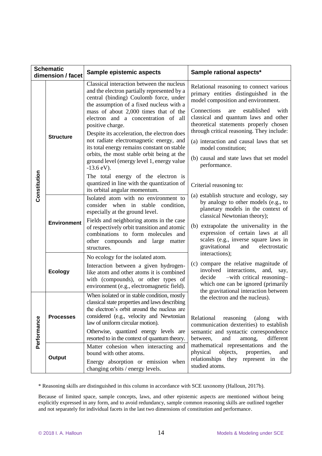| <b>Schematic</b>  |                    |                                                                                                                                                                                                                                                                                                                                                                                                                                                                                                                                                                                                                                                               |                                                                                                                                                                                                                                                                                                                                                                                                                                                              |  |
|-------------------|--------------------|---------------------------------------------------------------------------------------------------------------------------------------------------------------------------------------------------------------------------------------------------------------------------------------------------------------------------------------------------------------------------------------------------------------------------------------------------------------------------------------------------------------------------------------------------------------------------------------------------------------------------------------------------------------|--------------------------------------------------------------------------------------------------------------------------------------------------------------------------------------------------------------------------------------------------------------------------------------------------------------------------------------------------------------------------------------------------------------------------------------------------------------|--|
| dimension / facet |                    | Sample epistemic aspects                                                                                                                                                                                                                                                                                                                                                                                                                                                                                                                                                                                                                                      | Sample rational aspects*                                                                                                                                                                                                                                                                                                                                                                                                                                     |  |
| Constitution      | <b>Structure</b>   | Classical interaction between the nucleus<br>and the electron partially represented by a<br>central (binding) Coulomb force, under<br>the assumption of a fixed nucleus with a<br>mass of about 2,000 times that of the<br>electron and a concentration of all<br>positive charge.<br>Despite its acceleration, the electron does<br>not radiate electromagnetic energy, and<br>its total energy remains constant on stable<br>orbits, the most stable orbit being at the<br>ground level (energy level 1, energy value<br>$-13.6$ eV).<br>The total energy of the electron is<br>quantized in line with the quantization of<br>its orbital angular momentum. | Relational reasoning to connect various<br>primary entities distinguished in the<br>model composition and environment.<br>Connections<br>established<br>with<br>are<br>classical and quantum laws and other<br>theoretical statements properly chosen<br>through critical reasoning. They include:<br>(a) interaction and causal laws that set<br>model constitution;<br>(b) causal and state laws that set model<br>performance.<br>Criterial reasoning to: |  |
|                   | <b>Environment</b> | Isolated atom with no environment to<br>consider when in stable<br>condition,<br>especially at the ground level.<br>Fields and neighboring atoms in the case<br>of respectively orbit transition and atomic<br>combinations to form molecules and<br>other compounds and large matter<br>structures.                                                                                                                                                                                                                                                                                                                                                          | (a) establish structure and ecology, say<br>by analogy to other models (e.g., to<br>planetary models in the context of<br>classical Newtonian theory);<br>(b) extrapolate the universality in the<br>expression of certain laws at all<br>scales (e.g., inverse square laws in<br>gravitational<br>electrostatic<br>and                                                                                                                                      |  |
|                   | <b>Ecology</b>     | No ecology for the isolated atom.<br>Interaction between a given hydrogen-<br>like atom and other atoms it is combined<br>with (compounds), or other types of<br>environment (e.g., electromagnetic field).                                                                                                                                                                                                                                                                                                                                                                                                                                                   | interactions);<br>(c) compare the relative magnitude of<br>involved interactions,<br>and,<br>say,<br>-with critical reasoning-<br>decide<br>which one can be ignored (primarily<br>the gravitational interaction between                                                                                                                                                                                                                                     |  |
| Performance       | <b>Processes</b>   | When isolated or in stable condition, mostly<br>classical state properties and laws describing<br>the electron's orbit around the nucleus are<br>considered (e.g., velocity and Newtonian<br>law of uniform circular motion).<br>Otherwise, quantized energy levels are<br>resorted to in the context of quantum theory.                                                                                                                                                                                                                                                                                                                                      | the electron and the nucleus).<br>Relational<br>reasoning<br>(along<br>with<br>communication dexterities) to establish<br>semantic and syntactic correspondence<br>between,<br>and<br>among,<br>different                                                                                                                                                                                                                                                    |  |
|                   | Output             | Matter cohesion when interacting and<br>bound with other atoms.<br>Energy absorption or emission when<br>changing orbits / energy levels.                                                                                                                                                                                                                                                                                                                                                                                                                                                                                                                     | mathematical representations and the<br>physical<br>objects,<br>properties,<br>and<br>relationships they represent in the<br>studied atoms.                                                                                                                                                                                                                                                                                                                  |  |

\* Reasoning skills are distinguished in this column in accordance with SCE taxonomy (Halloun, 2017b).

Because of limited space, sample concepts, laws, and other epistemic aspects are mentioned without being explicitly expressed in any form, and to avoid redundancy, sample common reasoning skills are outlined together and not separately for individual facets in the last two dimensions of constitution and performance.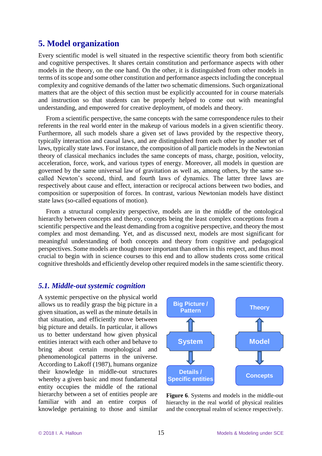# **5. Model organization**

Every scientific model is well situated in the respective scientific theory from both scientific and cognitive perspectives. It shares certain constitution and performance aspects with other models in the theory, on the one hand. On the other, it is distinguished from other models in terms of its scope and some other constitution and performance aspects including the conceptual complexity and cognitive demands of the latter two schematic dimensions. Such organizational matters that are the object of this section must be explicitly accounted for in course materials and instruction so that students can be properly helped to come out with meaningful understanding, and empowered for creative deployment, of models and theory.

From a scientific perspective, the same concepts with the same correspondence rules to their referents in the real world enter in the makeup of various models in a given scientific theory. Furthermore, all such models share a given set of laws provided by the respective theory, typically interaction and causal laws, and are distinguished from each other by another set of laws, typically state laws. For instance, the composition of all particle models in the Newtonian theory of classical mechanics includes the same concepts of mass, charge, position, velocity, acceleration, force, work, and various types of energy. Moreover, all models in question are governed by the same universal law of gravitation as well as, among others, by the same socalled Newton's second, third, and fourth laws of dynamics. The latter three laws are respectively about cause and effect, interaction or reciprocal actions between two bodies, and composition or superposition of forces. In contrast, various Newtonian models have distinct state laws (so-called equations of motion).

From a structural complexity perspective, models are in the middle of the ontological hierarchy between concepts and theory, concepts being the least complex conceptions from a scientific perspective and the least demanding from a cognitive perspective, and theory the most complex and most demanding. Yet, and as discussed next, models are most significant for meaningful understanding of both concepts and theory from cognitive and pedagogical perspectives. Some models are though more important than others in this respect, and thus most crucial to begin with in science courses to this end and to allow students cross some critical cognitive thresholds and efficiently develop other required models in the same scientific theory.

## *5.1. Middle-out systemic cognition*

A systemic perspective on the physical world allows us to readily grasp the big picture in a given situation, as well as the minute details in that situation, and efficiently move between big picture and details. In particular, it allows us to better understand how given physical entities interact with each other and behave to bring about certain morphological and phenomenological patterns in the universe. According to Lakoff (1987), humans organize their knowledge in middle-out structures whereby a given basic and most fundamental entity occupies the middle of the rational hierarchy between a set of entities people are familiar with and an entire corpus of knowledge pertaining to those and similar



**Figure 6**. Systems and models in the middle-out hierarchy in the real world of physical realities and the conceptual realm of science respectively.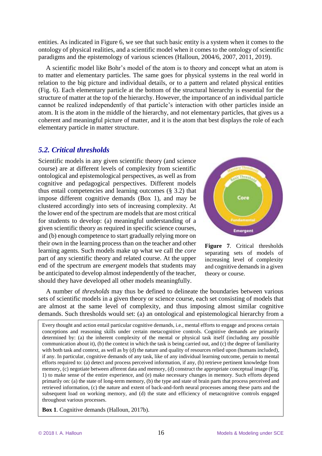entities. As indicated in Figure 6, we see that such basic entity is a system when it comes to the ontology of physical realities, and a scientific model when it comes to the ontology of scientific paradigms and the epistemology of various sciences (Halloun, 2004/6, 2007, 2011, 2019).

A scientific model like Bohr's model of the atom is to theory and concept what an atom is to matter and elementary particles. The same goes for physical systems in the real world in relation to the big picture and individual details, or to a pattern and related physical entities (Fig. 6). Each elementary particle at the bottom of the structural hierarchy is essential for the structure of matter at the top of the hierarchy. However, the importance of an individual particle cannot be realized independently of that particle's interaction with other particles inside an atom. It is the atom in the middle of the hierarchy, and not elementary particles, that gives us a coherent and meaningful picture of matter, and it is the atom that best displays the role of each elementary particle in matter structure.

## *5.2. Critical thresholds*

Scientific models in any given scientific theory (and science course) are at different levels of complexity from scientific ontological and epistemological perspectives, as well as from cognitive and pedagogical perspectives. Different models thus entail competencies and learning outcomes (§ 3.2) that impose different cognitive demands (Box 1), and may be clustered accordingly into sets of increasing complexity. At the lower end of the spectrum are models that are most critical for students to develop: (a) meaningful understanding of a given scientific theory as required in specific science courses, and (b) enough competence to start gradually relying more on their own in the learning process than on the teacher and other learning agents. Such models make up what we call the *core*  part of any scientific theory and related course. At the upper end of the spectrum are *emergent* models that students may be anticipated to develop almost independently of the teacher, should they have developed all other models meaningfully.



**Figure 7**. Critical thresholds separating sets of models of increasing level of complexity and cognitive demands in a given theory or course.

A number of *thresholds* may thus be defined to delineate the boundaries between various sets of scientific models in a given theory or science course, each set consisting of models that are almost at the same level of complexity, and thus imposing almost similar cognitive demands. Such thresholds would set: (a) an ontological and epistemological hierarchy from a

Every thought and action entail particular cognitive demands, i.e., mental efforts to engage and process certain conceptions and reasoning skills under certain metacognitive controls. Cognitive demands are primarily determined by: (a) the inherent complexity of the mental or physical task itself (including any possible communication about it), (b) the context in which the task is being carried out, and (c) the degree of familiarity with both task and context, as well as by (d) the nature and quality of resources relied upon (humans included), if any. In particular, cognitive demands of any task, like of any individual learning outcome, pertain to mental efforts required to: (a) detect and process perceived information, if any, (b) retrieve pertinent knowledge from memory, (c) negotiate between afferent data and memory, (d) construct the appropriate conceptual image (Fig. 1) to make sense of the entire experience, and (e) make necessary changes in memory. Such efforts depend primarily on: (a) the state of long-term memory, (b) the type and state of brain parts that process perceived and retrieved information, (c) the nature and extent of back-and-forth neural processes among these parts and the subsequent load on working memory, and (d) the state and efficiency of metacognitive controls engaged throughout various processes.

**Box 1**. Cognitive demands (Halloun, 2017b).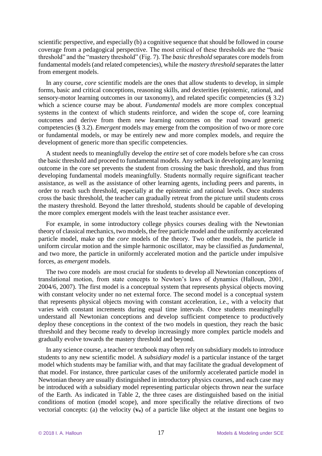scientific perspective, and especially (b) a cognitive sequence that should be followed in course coverage from a pedagogical perspective. The most critical of these thresholds are the "basic threshold" and the "mastery threshold" (Fig. 7). The *basic threshold* separates core models from fundamental models(and related competencies), while the *mastery threshold* separates the latter from emergent models.

In any course, *core* scientific models are the ones that allow students to develop, in simple forms, basic and critical conceptions, reasoning skills, and dexterities (epistemic, rational, and sensory-motor learning outcomes in our taxonomy), and related specific competencies (§ 3.2) which a science course may be about. *Fundamental* models are more complex conceptual systems in the context of which students reinforce, and widen the scope of, core learning outcomes and derive from them new learning outcomes on the road toward generic competencies (§ 3.2). *Emergent* models may emerge from the composition of two or more core or fundamental models, or may be entirely new and more complex models, and require the development of generic more than specific competencies.

A student needs to meaningfully develop the *entire* set of core models before s/he can cross the basic threshold and proceed to fundamental models. Any setback in developing any learning outcome in the core set prevents the student from crossing the basic threshold, and thus from developing fundamental models meaningfully. Students normally require significant teacher assistance, as well as the assistance of other learning agents, including peers and parents, in order to reach such threshold, especially at the epistemic and rational levels. Once students cross the basic threshold, the teacher can gradually retreat from the picture until students cross the mastery threshold. Beyond the latter threshold, students should be capable of developing the more complex emergent models with the least teacher assistance ever.

For example, in some introductory college physics courses dealing with the Newtonian theory of classical mechanics, two models, the free particle model and the uniformly accelerated particle model, make up the *core* models of the theory. Two other models, the particle in uniform circular motion and the simple harmonic oscillator, may be classified as *fundamental*, and two more, the particle in uniformly accelerated motion and the particle under impulsive forces, as *emergent* models.

The two core models are most crucial for students to develop all Newtonian conceptions of translational motion, from state concepts to Newton's laws of dynamics (Halloun, 2001, 2004/6, 2007). The first model is a conceptual system that represents physical objects moving with constant velocity under no net external force. The second model is a conceptual system that represents physical objects moving with constant acceleration, i.e., with a velocity that varies with constant increments during equal time intervals. Once students meaningfully understand all Newtonian conceptions and develop sufficient competence to productively deploy these conceptions in the context of the two models in question, they reach the basic threshold and they become ready to develop increasingly more complex particle models and gradually evolve towards the mastery threshold and beyond.

In any science course, a teacher or textbook may often rely on subsidiary models to introduce students to any new scientific model. A *subsidiary model* is a particular instance of the target model which students may be familiar with, and that may facilitate the gradual development of that model. For instance, three particular cases of the uniformly accelerated particle model in Newtonian theory are usually distinguished in introductory physics courses, and each case may be introduced with a subsidiary model representing particular objects thrown near the surface of the Earth. As indicated in Table 2, the three cases are distinguished based on the initial conditions of motion (model scope), and more specifically the relative directions of two vectorial concepts: (a) the velocity (**vo**) of a particle like object at the instant one begins to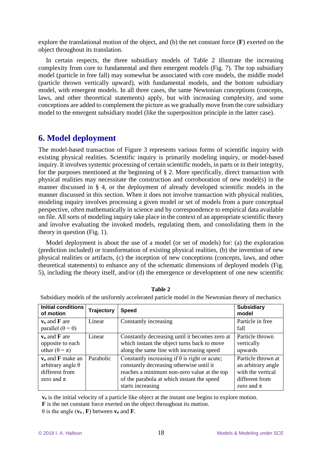explore the translational motion of the object, and (b) the net constant force (**F**) exerted on the object throughout its translation.

In certain respects, the three subsidiary models of Table 2 illustrate the increasing complexity from core to fundamental and then emergent models (Fig. 7). The top subsidiary model (particle in free fall) may somewhat be associated with core models, the middle model (particle thrown vertically upward), with fundamental models, and the bottom subsidiary model, with emergent models. In all three cases, the same Newtonian conceptions (concepts, laws, and other theoretical statements) apply, but with increasing complexity, and some conceptions are added to complement the picture as we gradually move from the core subsidiary model to the emergent subsidiary model (like the superposition principle in the latter case).

# **6. Model deployment**

The model-based transaction of Figure 3 represents various forms of scientific inquiry with existing physical realities. Scientific inquiry is primarily modeling inquiry, or model-based inquiry. It involves systemic processing of certain scientific models, in parts or in their integrity, for the purposes mentioned at the beginning of § 2. More specifically, direct transaction with physical realities may necessitate the construction and corroboration of new model(s) in the manner discussed in § 4, or the deployment of already developed scientific models in the manner discussed in this section. When it does not involve transaction with physical realities, modeling inquiry involves processing a given model or set of models from a pure conceptual perspective, often mathematically in science and by correspondence to empirical data available on file. All sorts of modeling inquiry take place in the context of an appropriate scientific theory and involve evaluating the invoked models, regulating them, and consolidating them in the theory in question (Fig. 1).

Model deployment is about the use of a model (or set of models) for: (a) the exploration (prediction included) or transformation of existing physical realities, (b) the invention of new physical realities or artifacts, (c) the inception of new conceptions (concepts, laws, and other theoretical statements) to enhance any of the schematic dimensions of deployed models (Fig. 5), including the theory itself, and/or (d) the emergence or development of one new scientific

| Initial conditions<br>of motion                                                            | <b>Trajectory</b> | <b>Speed</b>                                                                                                                                                                                                       | <b>Subsidiary</b><br>model                                                                        |
|--------------------------------------------------------------------------------------------|-------------------|--------------------------------------------------------------------------------------------------------------------------------------------------------------------------------------------------------------------|---------------------------------------------------------------------------------------------------|
| $v_0$ and $\bf{F}$ are<br>parallel $(\theta = 0)$                                          | Linear            | Constantly increasing                                                                                                                                                                                              | Particle in free<br>fall                                                                          |
| $v_0$ and <b>F</b> are<br>opposite to each<br>other $(\theta = \pi)$                       | Linear            | Constantly decreasing until it becomes zero at<br>which instant the object turns back to move<br>along the same line with increasing speed                                                                         | Particle thrown<br>vertically<br>upwards                                                          |
| $v_0$ and <b>F</b> make an<br>arbitrary angle $\theta$<br>different from<br>zero and $\pi$ | Parabolic         | Constantly increasing if $\theta$ is right or acute;<br>constantly decreasing otherwise until it<br>reaches a minimum non-zero value at the top<br>of the parabola at which instant the speed<br>starts increasing | Particle thrown at<br>an arbitrary angle<br>with the vertical<br>different from<br>zero and $\pi$ |

**Table 2**

Subsidiary models of the uniformly accelerated particle model in the Newtonian theory of mechanics

**v<sup>o</sup>** is the initial velocity of a particle like object at the instant one begins to explore motion.

**F** is the net constant force exerted on the object throughout its motion.

 $\theta$  is the angle  $(\mathbf{v}_0, \mathbf{F})$  between  $\mathbf{v}_0$  and **F**.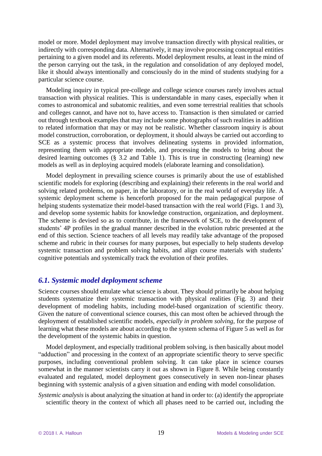model or more. Model deployment may involve transaction directly with physical realities, or indirectly with corresponding data. Alternatively, it may involve processing conceptual entities pertaining to a given model and its referents. Model deployment results, at least in the mind of the person carrying out the task, in the regulation and consolidation of any deployed model, like it should always intentionally and consciously do in the mind of students studying for a particular science course.

Modeling inquiry in typical pre-college and college science courses rarely involves actual transaction with physical realities. This is understandable in many cases, especially when it comes to astronomical and subatomic realities, and even some terrestrial realities that schools and colleges cannot, and have not to, have access to. Transaction is then simulated or carried out through textbook examples that may include some photographs of such realities in addition to related information that may or may not be realistic. Whether classroom inquiry is about model construction, corroboration, or deployment, it should always be carried out according to SCE as a systemic process that involves delineating systems in provided information, representing them with appropriate models, and processing the models to bring about the desired learning outcomes (§ 3.2 and Table 1). This is true in constructing (learning) new models as well as in deploying acquired models (elaborate learning and consolidation).

Model deployment in prevailing science courses is primarily about the use of established scientific models for exploring (describing and explaining) their referents in the real world and solving related problems, on paper, in the laboratory, or in the real world of everyday life. A systemic deployment scheme is henceforth proposed for the main pedagogical purpose of helping students systematize their model-based transaction with the real world (Figs. 1 and 3), and develop some systemic habits for knowledge construction, organization, and deployment. The scheme is devised so as to contribute, in the framework of SCE, to the development of students' 4P profiles in the gradual manner described in the evolution rubric presented at the end of this section. Science teachers of all levels may readily take advantage of the proposed scheme and rubric in their courses for many purposes, but especially to help students develop systemic transaction and problem solving habits, and align course materials with students' cognitive potentials and systemically track the evolution of their profiles.

#### *6.1. Systemic model deployment scheme*

Science courses should emulate what science is about. They should primarily be about helping students systematize their systemic transaction with physical realities (Fig. 3) and their development of modeling habits, including model-based organization of scientific theory. Given the nature of conventional science courses, this can most often be achieved through the deployment of established scientific models, *especially in problem solving*, for the purpose of learning what these models are about according to the system schema of Figure 5 as well as for the development of the systemic habits in question.

Model deployment, and especially traditional problem solving, is then basically about model "adduction" and processing in the context of an appropriate scientific theory to serve specific purposes, including conventional problem solving. It can take place in science courses somewhat in the manner scientists carry it out as shown in Figure 8. While being constantly evaluated and regulated, model deployment goes consecutively in seven non-linear phases beginning with systemic analysis of a given situation and ending with model consolidation.

*Systemic analysis* is about analyzing the situation at hand in order to: (a) identify the appropriate scientific theory in the context of which all phases need to be carried out, including the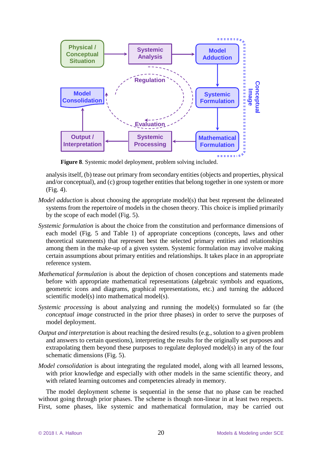

**Figure 8**. Systemic model deployment, problem solving included.

analysis itself, (b) tease out primary from secondary entities (objects and properties, physical and/or conceptual), and (c) group together entities that belong together in one system or more (Fig. 4).

- *Model adduction* is about choosing the appropriate model(s) that best represent the delineated systems from the repertoire of models in the chosen theory. This choice is implied primarily by the scope of each model (Fig. 5).
- *Systemic formulation* is about the choice from the constitution and performance dimensions of each model (Fig. 5 and Table 1) of appropriate conceptions (concepts, laws and other theoretical statements) that represent best the selected primary entities and relationships among them in the make-up of a given system. Systemic formulation may involve making certain assumptions about primary entities and relationships. It takes place in an appropriate reference system.
- *Mathematical formulation* is about the depiction of chosen conceptions and statements made before with appropriate mathematical representations (algebraic symbols and equations, geometric icons and diagrams, graphical representations, etc.) and turning the adduced scientific model(s) into mathematical model(s).
- *Systemic processing* is about analyzing and running the model(s) formulated so far (the *conceptual image* constructed in the prior three phases) in order to serve the purposes of model deployment.
- *Output and interpretation* is about reaching the desired results (e.g., solution to a given problem and answers to certain questions), interpreting the results for the originally set purposes and extrapolating them beyond these purposes to regulate deployed model(s) in any of the four schematic dimensions (Fig. 5).
- *Model consolidation* is about integrating the regulated model, along with all learned lessons, with prior knowledge and especially with other models in the same scientific theory, and with related learning outcomes and competencies already in memory.

The model deployment scheme is sequential in the sense that no phase can be reached without going through prior phases. The scheme is though non-linear in at least two respects. First, some phases, like systemic and mathematical formulation, may be carried out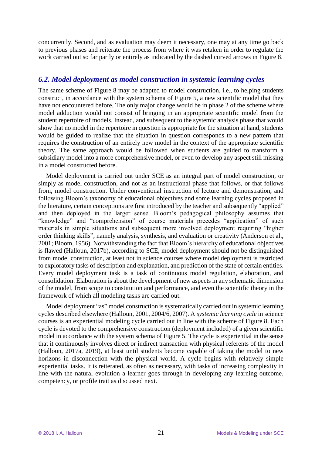concurrently. Second, and as evaluation may deem it necessary, one may at any time go back to previous phases and reiterate the process from where it was retaken in order to regulate the work carried out so far partly or entirely as indicated by the dashed curved arrows in Figure 8.

#### *6.2. Model deployment as model construction in systemic learning cycles*

The same scheme of Figure 8 may be adapted to model construction, i.e., to helping students construct, in accordance with the system schema of Figure 5, a new scientific model that they have not encountered before. The only major change would be in phase 2 of the scheme where model adduction would not consist of bringing in an appropriate scientific model from the student repertoire of models. Instead, and subsequent to the systemic analysis phase that would show that no model in the repertoire in question is appropriate for the situation at hand, students would be guided to realize that the situation in question corresponds to a new pattern that requires the construction of an entirely new model in the context of the appropriate scientific theory. The same approach would be followed when students are guided to transform a subsidiary model into a more comprehensive model, or even to develop any aspect still missing in a model constructed before.

Model deployment is carried out under SCE as an integral part of model construction, or simply as model construction, and not as an instructional phase that follows, or that follows from, model construction. Under conventional instruction of lecture and demonstration, and following Bloom's taxonomy of educational objectives and some learning cycles proposed in the literature, certain conceptions are first introduced by the teacher and subsequently "applied" and then deployed in the larger sense. Bloom's pedagogical philosophy assumes that "knowledge" and "comprehension" of course materials precedes "application" of such materials in simple situations and subsequent more involved deployment requiring "higher order thinking skills", namely analysis, synthesis, and evaluation or creativity (Anderson et al., 2001; Bloom, 1956). Notwithstanding the fact that Bloom's hierarchy of educational objectives is flawed (Halloun, 2017b), according to SCE, model deployment should not be distinguished from model construction, at least not in science courses where model deployment is restricted to exploratory tasks of description and explanation, and prediction of the state of certain entities. Every model deployment task is a task of continuous model regulation, elaboration, and consolidation. Elaboration is about the development of new aspects in any schematic dimension of the model, from scope to constitution and performance, and even the scientific theory in the framework of which all modeling tasks are carried out.

Model deployment "as" model construction is systematically carried out in systemic learning cycles described elsewhere (Halloun, 2001, 2004/6, 2007). A *systemic learning cycle* in science courses is an experiential modeling cycle carried out in line with the scheme of Figure 8. Each cycle is devoted to the comprehensive construction (deployment included) of a given scientific model in accordance with the system schema of Figure 5. The cycle is experiential in the sense that it continuously involves direct or indirect transaction with physical referents of the model (Halloun, 2017a, 2019), at least until students become capable of taking the model to new horizons in disconnection with the physical world. A cycle begins with relatively simple experiential tasks. It is reiterated, as often as necessary, with tasks of increasing complexity in line with the natural evolution a learner goes through in developing any learning outcome, competency, or profile trait as discussed next.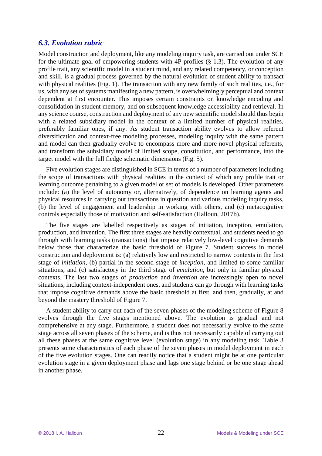#### *6.3. Evolution rubric*

Model construction and deployment, like any modeling inquiry task, are carried out under SCE for the ultimate goal of empowering students with 4P profiles (§ 1.3). The evolution of any profile trait, any scientific model in a student mind, and any related competency, or conception and skill, is a gradual process governed by the natural evolution of student ability to transact with physical realities (Fig. 1). The transaction with any new family of such realities, i.e., for us, with any set of systems manifesting a new pattern, is overwhelmingly perceptual and context dependent at first encounter. This imposes certain constraints on knowledge encoding and consolidation in student memory, and on subsequent knowledge accessibility and retrieval. In any science course, construction and deployment of any new scientific model should thus begin with a related subsidiary model in the context of a limited number of physical realities, preferably familiar ones, if any. As student transaction ability evolves to allow referent diversification and context-free modeling processes, modeling inquiry with the same pattern and model can then gradually evolve to encompass more and more novel physical referents, and transform the subsidiary model of limited scope, constitution, and performance, into the target model with the full fledge schematic dimensions (Fig. 5).

Five evolution stages are distinguished in SCE in terms of a number of parameters including the scope of transactions with physical realities in the context of which any profile trait or learning outcome pertaining to a given model or set of models is developed. Other parameters include: (a) the level of autonomy or, alternatively, of dependence on learning agents and physical resources in carrying out transactions in question and various modeling inquiry tasks, (b) the level of engagement and leadership in working with others, and (c) metacognitive controls especially those of motivation and self-satisfaction (Halloun, 2017b).

The five stages are labelled respectively as stages of initiation, inception, emulation, production, and invention. The first three stages are heavily contextual, and students need to go through with learning tasks (transactions) that impose relatively low-level cognitive demands below those that characterize the basic threshold of Figure 7. Student success in model construction and deployment is: (a) relatively low and restricted to narrow contexts in the first stage of *initiation*, (b) partial in the second stage of *inception*, and limited to some familiar situations, and (c) satisfactory in the third stage of *emulation*, but only in familiar physical contexts. The last two stages of *production* and *invention* are increasingly open to novel situations, including context-independent ones, and students can go through with learning tasks that impose cognitive demands above the basic threshold at first, and then, gradually, at and beyond the mastery threshold of Figure 7.

A student ability to carry out each of the seven phases of the modeling scheme of Figure 8 evolves through the five stages mentioned above. The evolution is gradual and not comprehensive at any stage. Furthermore, a student does not necessarily evolve to the same stage across all seven phases of the scheme, and is thus not necessarily capable of carrying out all these phases at the same cognitive level (evolution stage) in any modeling task. Table 3 presents some characteristics of each phase of the seven phases in model deployment in each of the five evolution stages. One can readily notice that a student might be at one particular evolution stage in a given deployment phase and lags one stage behind or be one stage ahead in another phase.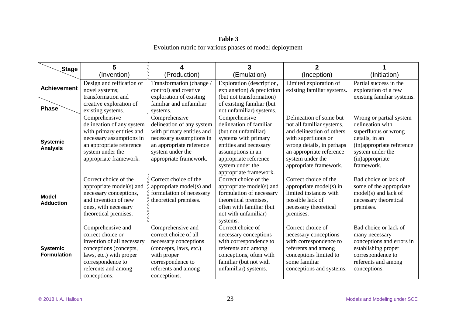## **Table 3** Evolution rubric for various phases of model deployment

| Stage                                 | 5                                                                                                                                                                                     | 4                                                                                                                                                                             | 3                                                                                                                                                                                                              | $\overline{2}$                                                                                                                                                                                                  |                                                                                                                                                                         |
|---------------------------------------|---------------------------------------------------------------------------------------------------------------------------------------------------------------------------------------|-------------------------------------------------------------------------------------------------------------------------------------------------------------------------------|----------------------------------------------------------------------------------------------------------------------------------------------------------------------------------------------------------------|-----------------------------------------------------------------------------------------------------------------------------------------------------------------------------------------------------------------|-------------------------------------------------------------------------------------------------------------------------------------------------------------------------|
|                                       | (Invention)                                                                                                                                                                           | (Production)                                                                                                                                                                  | (Emulation)                                                                                                                                                                                                    | (Inception)                                                                                                                                                                                                     | (Initiation)                                                                                                                                                            |
| <b>Achievement</b><br><b>Phase</b>    | Design and reification of<br>novel systems;<br>transformation and<br>creative exploration of<br>existing systems.                                                                     | Transformation (change)<br>control) and creative<br>exploration of existing<br>familiar and unfamiliar<br>systems.                                                            | Exploration (description,<br>explanation) $&$ prediction<br>(but not transformation)<br>of existing familiar (but<br>not unfamiliar) systems.                                                                  | Limited exploration of<br>existing familiar systems.                                                                                                                                                            | Partial success in the<br>exploration of a few<br>existing familiar systems.                                                                                            |
| <b>Systemic</b><br><b>Analysis</b>    | Comprehensive<br>delineation of any system<br>with primary entities and<br>necessary assumptions in<br>an appropriate reference<br>system under the<br>appropriate framework.         | Comprehensive<br>delineation of any system<br>with primary entities and<br>necessary assumptions in<br>an appropriate reference<br>system under the<br>appropriate framework. | Comprehensive<br>delineation of familiar<br>(but not unfamiliar)<br>systems with primary<br>entities and necessary<br>assumptions in an<br>appropriate reference<br>system under the<br>appropriate framework. | Delineation of some but<br>not all familiar systems,<br>and delineation of others<br>with superfluous or<br>wrong details, in perhaps<br>an appropriate reference<br>system under the<br>appropriate framework. | Wrong or partial system<br>delineation with<br>superfluous or wrong<br>details, in an<br>(in)appropriate reference<br>system under the<br>(in)appropriate<br>framework. |
| <b>Model</b><br><b>Adduction</b>      | Correct choice of the<br>appropriate model(s) and<br>necessary conceptions,<br>and invention of new<br>ones, with necessary<br>theoretical premises.                                  | $\frac{1}{2}$ Correct choice of the<br>appropriate model(s) and<br>formulation of necessary<br>theoretical premises.                                                          | Correct choice of the<br>appropriate model(s) and<br>formulation of necessary<br>theoretical premises,<br>often with familiar (but<br>not with unfamiliar)<br>systems.                                         | Correct choice of the<br>appropriate model(s) in<br>limited instances with<br>possible lack of<br>necessary theoretical<br>premises.                                                                            | Bad choice or lack of<br>some of the appropriate<br>model(s) and lack of<br>necessary theoretical<br>premises.                                                          |
| <b>Systemic</b><br><b>Formulation</b> | Comprehensive and<br>correct choice or<br>invention of all necessary<br>conceptions (concepts,<br>laws, etc.) with proper<br>correspondence to<br>referents and among<br>conceptions. | Comprehensive and<br>correct choice of all<br>necessary conceptions<br>(concepts, laws, etc.)<br>with proper<br>correspondence to<br>referents and among<br>conceptions.      | Correct choice of<br>necessary conceptions<br>with correspondence to<br>referents and among<br>conceptions, often with<br>familiar (but not with<br>unfamiliar) systems.                                       | Correct choice of<br>necessary conceptions<br>with correspondence to<br>referents and among<br>conceptions limited to<br>some familiar<br>conceptions and systems.                                              | Bad choice or lack of<br>many necessary<br>conceptions and errors in<br>establishing proper<br>correspondence to<br>referents and among<br>conceptions.                 |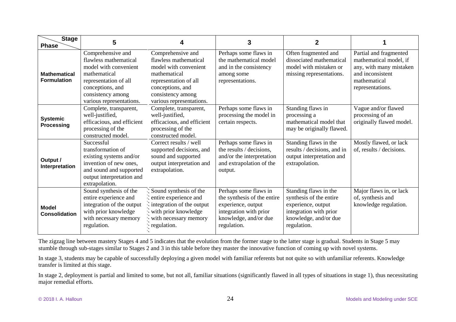| <b>Stage</b><br><b>Phase</b>              | 5                                                                                                                                                                                 | 4                                                                                                                                                                                 | 3                                                                                                                                            | $\mathbf{2}$                                                                                                                             |                                                                                                                                     |
|-------------------------------------------|-----------------------------------------------------------------------------------------------------------------------------------------------------------------------------------|-----------------------------------------------------------------------------------------------------------------------------------------------------------------------------------|----------------------------------------------------------------------------------------------------------------------------------------------|------------------------------------------------------------------------------------------------------------------------------------------|-------------------------------------------------------------------------------------------------------------------------------------|
| <b>Mathematical</b><br><b>Formulation</b> | Comprehensive and<br>flawless mathematical<br>model with convenient<br>mathematical<br>representation of all<br>conceptions, and<br>consistency among<br>various representations. | Comprehensive and<br>flawless mathematical<br>model with convenient<br>mathematical<br>representation of all<br>conceptions, and<br>consistency among<br>various representations. | Perhaps some flaws in<br>the mathematical model<br>and in the consistency<br>among some<br>representations.                                  | Often fragmented and<br>dissociated mathematical<br>model with mistaken or<br>missing representations.                                   | Partial and fragmented<br>mathematical model, if<br>any, with many mistaken<br>and inconsistent<br>mathematical<br>representations. |
| <b>Systemic</b><br>Processing             | Complete, transparent,<br>well-justified,<br>efficacious, and efficient<br>processing of the<br>constructed model.                                                                | Complete, transparent,<br>well-justified,<br>efficacious, and efficient<br>processing of the<br>constructed model.                                                                | Perhaps some flaws in<br>processing the model in<br>certain respects.                                                                        | Standing flaws in<br>processing a<br>mathematical model that<br>may be originally flawed.                                                | Vague and/or flawed<br>processing of an<br>originally flawed model.                                                                 |
| Output /<br>Interpretation                | Successful<br>transformation of<br>existing systems and/or<br>invention of new ones,<br>and sound and supported<br>output interpretation and<br>extrapolation.                    | Correct results / well<br>supported decisions, and<br>sound and supported<br>output interpretation and<br>extrapolation.                                                          | Perhaps some flaws in<br>the results / decisions,<br>and/or the interpretation<br>and extrapolation of the<br>output.                        | Standing flaws in the<br>results / decisions, and in<br>output interpretation and<br>extrapolation.                                      | Mostly flawed, or lack<br>of, results / decisions.                                                                                  |
| <b>Model</b><br><b>Consolidation</b>      | Sound synthesis of the<br>entire experience and<br>integration of the output<br>with prior knowledge<br>with necessary memory<br>regulation.                                      | Sound synthesis of the<br>entire experience and<br>integration of the output<br>with prior knowledge<br>with necessary memory<br>regulation.                                      | Perhaps some flaws in<br>the synthesis of the entire<br>experience, output<br>integration with prior<br>knowledge, and/or due<br>regulation. | Standing flaws in the<br>synthesis of the entire<br>experience, output<br>integration with prior<br>knowledge, and/or due<br>regulation. | Major flaws in, or lack<br>of, synthesis and<br>knowledge regulation.                                                               |

The zigzag line between mastery Stages 4 and 5 indicates that the evolution from the former stage to the latter stage is gradual. Students in Stage 5 may stumble through sub-stages similar to Stages 2 and 3 in this table before they master the innovative function of coming up with novel systems.

In stage 3, students may be capable of successfully deploying a given model with familiar referents but not quite so with unfamiliar referents. Knowledge transfer is limited at this stage.

In stage 2, deployment is partial and limited to some, but not all, familiar situations (significantly flawed in all types of situations in stage 1), thus necessitating major remedial efforts.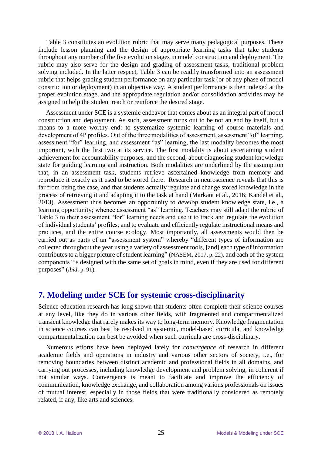Table 3 constitutes an evolution rubric that may serve many pedagogical purposes. These include lesson planning and the design of appropriate learning tasks that take students throughout any number of the five evolution stages in model construction and deployment. The rubric may also serve for the design and grading of assessment tasks, traditional problem solving included. In the latter respect, Table 3 can be readily transformed into an assessment rubric that helps grading student performance on any particular task (or of any phase of model construction or deployment) in an objective way. A student performance is then indexed at the proper evolution stage, and the appropriate regulation and/or consolidation activities may be assigned to help the student reach or reinforce the desired stage.

Assessment under SCE is a systemic endeavor that comes about as an integral part of model construction and deployment. As such, assessment turns out to be not an end by itself, but a means to a more worthy end: to systematize systemic learning of course materials and development of 4P profiles. Out of the three modalities of assessment, assessment "of" learning, assessment "for" learning, and assessment "as" learning, the last modality becomes the most important, with the first two at its service. The first modality is about ascertaining student achievement for accountability purposes, and the second, about diagnosing student knowledge state for guiding learning and instruction. Both modalities are underlined by the assumption that, in an assessment task, students retrieve ascertained knowledge from memory and reproduce it exactly as it used to be stored there. Research in neuroscience reveals that this is far from being the case, and that students actually regulate and change stored knowledge in the process of retrieving it and adapting it to the task at hand (Markant et al., 2016; Kandel et al., 2013). Assessment thus becomes an opportunity to *develop* student knowledge state, i.e., a learning opportunity; whence assessment "as" learning. Teachers may still adapt the rubric of Table 3 to their assessment "for" learning needs and use it to track and regulate the evolution of individual students' profiles, and to evaluate and efficiently regulate instructional means and practices, and the entire course ecology. Most importantly, all assessments would then be carried out as parts of an "assessment system" whereby "different types of information are collected throughout the year using a variety of assessment tools, [and] each type of information contributes to a bigger picture of student learning" (NASEM, 2017, p. 22), and each of the system components "is designed with the same set of goals in mind, even if they are used for different purposes" (*ibid*, p. 91).

# **7. Modeling under SCE for systemic cross-disciplinarity**

Science education research has long shown that students often complete their science courses at any level, like they do in various other fields, with fragmented and compartmentalized transient knowledge that rarely makes its way to long-term memory. Knowledge fragmentation in science courses can best be resolved in systemic, model-based curricula, and knowledge compartmentalization can best be avoided when such curricula are cross-disciplinary.

Numerous efforts have been deployed lately for *convergence* of research in different academic fields and operations in industry and various other sectors of society, i.e., for removing boundaries between distinct academic and professional fields in all domains, and carrying out processes, including knowledge development and problem solving, in coherent if not similar ways. Convergence is meant to facilitate and improve the efficiency of communication, knowledge exchange, and collaboration among various professionals on issues of mutual interest, especially in those fields that were traditionally considered as remotely related, if any, like arts and sciences.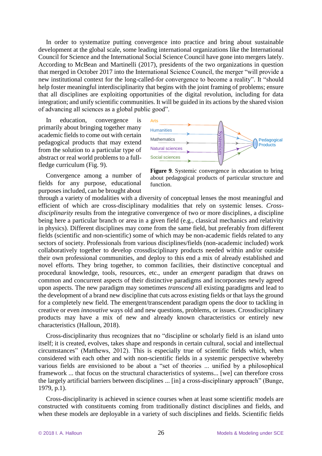In order to systematize putting convergence into practice and bring about sustainable development at the global scale, some leading international organizations like the International Council for Science and the International Social Science Council have gone into mergers lately. According to McBean and Martinelli (2017), presidents of the two organizations in question that merged in October 2017 into the International Science Council, the merger "will provide a new institutional context for the long-called-for convergence to become a reality". It "should help foster meaningful interdisciplinarity that begins with the joint framing of problems; ensure that all disciplines are exploiting opportunities of the digital revolution, including for data integration; and unify scientific communities. It will be guided in its actions by the shared vision of advancing all sciences as a global public good".

education, convergence is primarily about bringing together many academic fields to come out with certain pedagogical products that may extend from the solution to a particular type of abstract or real world problems to a fullfledge curriculum (Fig. 9).

Convergence among a number of fields for any purpose, educational purposes included, can be brought about



**Figure 9**. Systemic convergence in education to bring about pedagogical products of particular structure and function.

through a variety of modalities with a diversity of conceptual lenses the most meaningful and efficient of which are cross-disciplinary modalities that rely on systemic lenses. *Crossdisciplinarity* results from the integrative convergence of two or more disciplines, a discipline being here a particular branch or area in a given field (e.g., classical mechanics and relativity in physics). Different disciplines may come from the same field, but preferably from different fields (scientific and non-scientific) some of which may be non-academic fields related to any sectors of society. Professionals from various disciplines/fields (non-academic included) work collaboratively together to develop crossdisciplinary products needed within and/or outside their own professional communities, and deploy to this end a mix of already established and novel efforts. They bring together, to common facilities, their distinctive conceptual and procedural knowledge, tools, resources, etc., under an *emergent* paradigm that draws on common and concurrent aspects of their distinctive paradigms and incorporates newly agreed upon aspects. The new paradigm may sometimes *transcend* all existing paradigms and lead to the development of a brand new discipline that cuts across existing fields or that lays the ground for a completely new field. The emergent/transcendent paradigm opens the door to tackling in creative or even *innovative* ways old and new questions, problems, or issues. Crossdisciplinary products may have a mix of new and already known characteristics or entirely new characteristics (Halloun, 2018).

Cross-disciplinarity thus recognizes that no "discipline or scholarly field is an island unto itself; it is created, evolves, takes shape and responds in certain cultural, social and intellectual circumstances" (Matthews, 2012). This is especially true of scientific fields which, when considered with each other and with non-scientific fields in a systemic perspective whereby various fields are envisioned to be about a "set of theories ... unified by a philosophical framework ... that focus on the structural characteristics of systems... [we] can therefore cross the largely artificial barriers between disciplines ... [in] a cross-disciplinary approach" (Bunge, 1979, p.1).

Cross-disciplinarity is achieved in science courses when at least some scientific models are constructed with constituents coming from traditionally distinct disciplines and fields, and when these models are deployable in a variety of such disciplines and fields. Scientific fields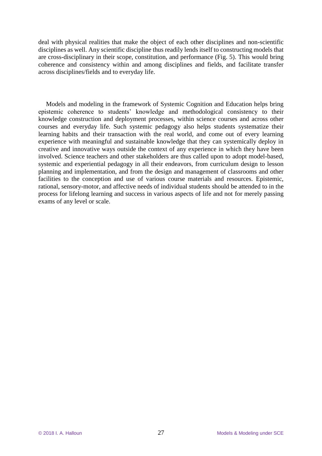deal with physical realities that make the object of each other disciplines and non-scientific disciplines as well. Any scientific discipline thus readily lends itself to constructing models that are cross-disciplinary in their scope, constitution, and performance (Fig. 5). This would bring coherence and consistency within and among disciplines and fields, and facilitate transfer across disciplines/fields and to everyday life.

Models and modeling in the framework of Systemic Cognition and Education helps bring epistemic coherence to students' knowledge and methodological consistency to their knowledge construction and deployment processes, within science courses and across other courses and everyday life. Such systemic pedagogy also helps students systematize their learning habits and their transaction with the real world, and come out of every learning experience with meaningful and sustainable knowledge that they can systemically deploy in creative and innovative ways outside the context of any experience in which they have been involved. Science teachers and other stakeholders are thus called upon to adopt model-based, systemic and experiential pedagogy in all their endeavors, from curriculum design to lesson planning and implementation, and from the design and management of classrooms and other facilities to the conception and use of various course materials and resources. Epistemic, rational, sensory-motor, and affective needs of individual students should be attended to in the process for lifelong learning and success in various aspects of life and not for merely passing exams of any level or scale.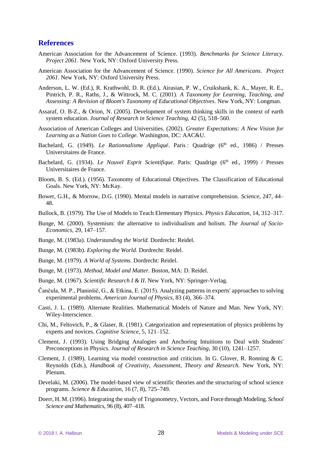#### **References**

- American Association for the Advancement of Science. (1993). *Benchmarks for Science Literacy. Project 2061*. New York, NY: Oxford University Press.
- American Association for the Advancement of Science. (1990). *Science for All Americans*. *Project 2061*. New York, NY: Oxford University Press.
- Anderson, L. W. (Ed.), R. Krathwohl, D. R. (Ed.), Airasian, P. W., Cruikshank, K. A., Mayer, R. E., Pintrich, P. R., Raths, J., & Wittrock, M. C. (2001). *A Taxonomy for Learning, Teaching, and Assessing: A Revision of Bloom's Taxonomy of Educational Objectives*. New York, NY: Longman.
- Assaraf, O. B-Z., & Orion, N. (2005). Development of system thinking skills in the context of earth system education. *Journal of Research in Science Teaching*, 42 (5), 518–560.
- Association of American Colleges and Universities. (2002). *Greater Expectations: A New Vision for Learning as a Nation Goes to College.* Washington, DC: AAC&U.
- Bachelard, G. (1949). *Le Rationnalisme Appliqué*. Paris : Quadrige (6<sup>th</sup> ed., 1986) / Presses Universitaires de France.
- Bachelard, G. (1934). *Le Nouvel Esprit Scientifique*. Paris: Quadrige (6<sup>th</sup> ed., 1999) / Presses Universitaires de France.
- Bloom, B. S. (Ed.). (1956). Taxonomy of Educational Objectives. The Classification of Educational Goals. New York, NY: McKay.
- Bower, G.H., & Morrow, D.G. (1990). Mental models in narrative comprehension. *Science*, 247, 44– 48.
- Bullock, B. (1979). The Use of Models to Teach Elementary Physics. *Physics Education,* 14, 312–317.
- Bunge, M. (2000). Systemism: the alternative to individualism and holism. *The Journal of Socio-Economics*, 29, 147–157.
- Bunge, M. (1983a). *Understanding the World.* Dordrecht: Reidel.
- Bunge, M. (1983b). *Exploring the World.* Dordrecht: Reidel.
- Bunge, M. (1979). *A World of Systems.* Dordrecht: Reidel.
- Bunge, M. (1973). *Method, Model and Matter.* Boston, MA: D. Reidel.
- Bunge, M. (1967). *Scientific Research I & II*. New York, NY: Springer-Verlag.
- Čančula, M. P., Planinšič, G., & Etkina, E. (2015). Analyzing patterns in experts' approaches to solving experimental problems. *American Journal of Physics*, 83 (4), 366–374.
- Casti, J. L. (1989). Alternate Realities. Mathematical Models of Nature and Man. New York, NY: Wiley-Interscience.
- Chi, M., Feltovich, P., & Glaser, R. (1981). Categorization and representation of physics problems by experts and novices. *Cognitive Science*, 5, 121–152.
- Clement, J. (1993). Using Bridging Analogies and Anchoring Intuitions to Deal with Students' Preconceptions in Physics. *Journal of Research in Science Teaching*, 30 (10), 1241–1257.
- Clement, J. (1989). Learning via model construction and criticism. In G. Glover, R. Ronning & C. Reynolds (Eds.), *Handbook of Creativity, Assessment, Theory and Research.* New York, NY: Plenum.
- Develaki, M. (2006). The model-based view of scientific theories and the structuring of school science programs. *Science & Education*, 16 (7, 8), 725–749.
- Doerr, H. M. (1996). Integrating the study of Trigonometry, Vectors, and Force through Modeling. *School Science and Mathematics*, 96 (8), 407–418.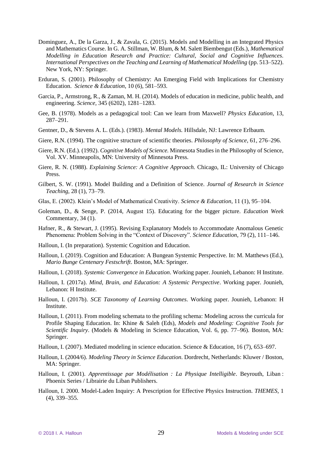- Dominguez, A., De la Garza, J., & Zavala, G. (2015). Models and Modelling in an Integrated Physics and Mathematics Course. In G. A. Stillman, W. Blum, & M. Salett Biembengut (Eds.), *Mathematical Modelling in Education Research and Practice: Cultural, Social and Cognitive Influences. International Perspectives on the Teaching and Learning of Mathematical Modelling* (pp. 513–522). New York, NY: Springer.
- Erduran, S. (2001). Philosophy of Chemistry: An Emerging Field with Implications for Chemistry Education. *Science & Education*, 10 (6), 581–593.
- Garcia, P., Armstrong, R., & Zaman, M. H. (2014). Models of education in medicine, public health, and engineering. *Science,* 345 (6202), 1281–1283.
- Gee, B. (1978). Models as a pedagogical tool: Can we learn from Maxwell? *Physics Education*, 13*,*  287–291.
- Gentner, D., & Stevens A. L. (Eds.). (1983). *Mental Models.* Hillsdale, NJ: Lawrence Erlbaum.
- Giere, R.N. (1994). The cognitive structure of scientific theories. *Philosophy of Science*, 61*,* 276–296.
- Giere, R.N. (Ed.). (1992). *Cognitive Models of Science.* Minnesota Studies in the Philosophy of Science, Vol. XV. Minneapolis, MN: University of Minnesota Press.
- Giere, R. N. (1988). *Explaining Science: A Cognitive Approach.* Chicago, IL: University of Chicago Press.
- Gilbert, S. W. (1991). Model Building and a Definition of Science. *Journal of Research in Science Teaching*, 28 (1), 73–79.
- Glas, E. (2002). Klein's Model of Mathematical Creativity. *Science & Education*, 11 (1), 95–104.
- Goleman, D., & Senge, P. (2014, August 15). Educating for the bigger picture. *Education Week* Commentary, 34 (1).
- Hafner, R., & Stewart, J. (1995). Revising Explanatory Models to Accommodate Anomalous Genetic Phenomena: Problem Solving in the "Context of Discovery". *Science Education*, 79 (2), 111–146.
- Halloun, I. (In preparation). Systemic Cognition and Education.
- Halloun, I. (2019). Cognition and Education: A Bungean Systemic Perspective. In: M. Matthews (Ed.), *Mario Bunge Centenary Festschrift*. Boston, MA: Springer.
- Halloun, I. (2018). *Systemic Convergence in Education*. Working paper. Jounieh, Lebanon: H Institute.
- Halloun, I. (2017a). *Mind, Brain, and Education: A Systemic Perspective*. Working paper. Jounieh, Lebanon: H Institute.
- Halloun, I. (2017b). *SCE Taxonomy of Learning Outcomes*. Working paper. Jounieh, Lebanon: H Institute.
- Halloun, I. (2011). From modeling schemata to the profiling schema: Modeling across the curricula for Profile Shaping Education. In: Khine & Saleh (Eds), *Models and Modeling: Cognitive Tools for Scientific Inquiry*. (Models & Modeling in Science Education, Vol. 6, pp. 77–96). Boston, MA: Springer.
- Halloun, I. (2007). Mediated modeling in science education. Science & Education, 16 (7), 653–697.
- Halloun, I. (2004/6). *Modeling Theory in Science Education*. Dordrecht, Netherlands: Kluwer / Boston, MA: Springer.
- Halloun, I. (2001). *Apprentissage par Modélisation : La Physique Intelligible*. Beyrouth, Liban : Phoenix Series / Librairie du Liban Publishers.
- Halloun, I. 2000. Model-Laden Inquiry: A Prescription for Effective Physics Instruction. *THEMES,* 1 (4), 339–355.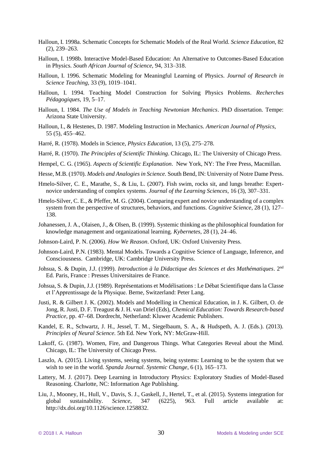- Halloun, I. 1998a. Schematic Concepts for Schematic Models of the Real World. *Science Education,* 82 (2), 239–263.
- Halloun, I. 1998b. Interactive Model-Based Education: An Alternative to Outcomes-Based Education in Physics. *South African Journal of Science,* 94*,* 313–318.
- Halloun, I. 1996. Schematic Modeling for Meaningful Learning of Physics. *Journal of Research in Science Teaching,* 33 (9), 1019–1041.
- Halloun, I. 1994. Teaching Model Construction for Solving Physics Problems. *Recherches Pédagogiques,* 19*,* 5–17.
- Halloun, I. 1984. *The Use of Models in Teaching Newtonian Mechanics*. PhD dissertation. Tempe: Arizona State University.
- Halloun, I., & Hestenes, D. 1987. Modeling Instruction in Mechanics. *American Journal of Physics*, 55 (5), 455–462.
- Harré, R. (1978). Models in Science, *Physics Education*, 13 (5), 275–278.
- Harré, R. (1970). *The Principles of Scientific Thinking*. Chicago, IL: The University of Chicago Press.
- Hempel, C. G. (1965). *Aspects of Scientific Explanation*. New York, NY: The Free Press, Macmillan.
- Hesse, M.B. (1970). *Models and Analogies in Science.* South Bend, IN: University of Notre Dame Press.
- Hmelo-Silver, C. E., Marathe, S., & Liu, L. (2007). Fish swim, rocks sit, and lungs breathe: Expertnovice understanding of complex systems. *Journal of the Learning Sciences*, 16 (3), 307–331.
- Hmelo-Silver, C. E., & Pfeffer, M. G. (2004). Comparing expert and novice understanding of a complex system from the perspective of structures, behaviors, and functions. *Cognitive Science*, 28 (1), 127– 138.
- Johanessen, J. A., Olaisen, J., & Olsen, B. (1999). Systemic thinking as the philosophical foundation for knowledge management and organizational learning. *Kybernetes*, 28 (1), 24–46.
- Johnson-Laird, P. N. (2006). *How We Reason*. Oxford, UK: Oxford University Press.
- Johnson-Laird, P.N. (1983). Mental Models. Towards a Cognitive Science of Language, Inference, and Consciousness. Cambridge, UK: Cambridge University Press.
- Johsua, S. & Dupin, J.J. (1999). *Introduction à la Didactique des Sciences et des Mathématiques*. 2<sup>nd</sup> Ed. Paris, France : Presses Universitaires de France.
- Johsua, S. & Dupin, J.J. (1989). Représentations et Modélisations : Le Débat Scientifique dans la Classe et l'Apprentissage de la Physique. Berne, Switzerland: Peter Lang.
- Justi, R. & Gilbert J. K. (2002). Models and Modelling in Chemical Education, in J. K. Gilbert, O. de Jong, R. Justi, D. F. Treagust & J. H. van Driel (Eds), *Chemical Education: Towards Research-based Practice,* pp. 47–68. Dordrecht, Netherland: Kluwer Academic Publishers.
- Kandel, E. R., Schwartz, J. H., Jessel, T. M., Siegelbaum, S. A., & Hudspeth, A. J. (Eds.). (2013). *Principles of Neural Science.* 5th Ed. New York, NY: McGraw-Hill.
- Lakoff, G. (1987). Women, Fire, and Dangerous Things. What Categories Reveal about the Mind. Chicago, IL: The University of Chicago Press.
- Laszlo, A. (2015). Living systems, seeing systems, being systems: Learning to be the system that we wish to see in the world. *Spanda Journal. Systemic Change*, 6 (1), 165–173.
- Lattery, M. J. (2017). Deep Learning in Introductory Physics: Exploratory Studies of Model-Based Reasoning. Charlotte, NC: Information Age Publishing.
- Liu, J., Mooney, H., Hull, V., Davis, S. J., Gaskell, J., Hertel, T., et al. (2015). Systems integration for global sustainability. *Science,* 347 (6225), 963. Full article available at: http://dx.doi.org/10.1126/science.1258832.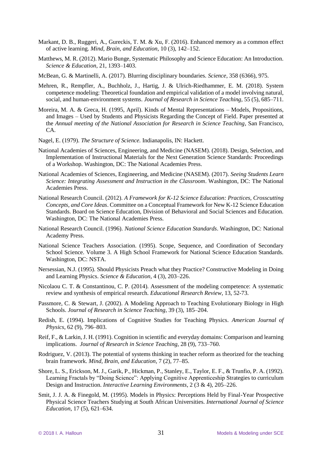- Markant, D. B., Ruggeri, A., Gureckis, T. M. & Xu, F. (2016). Enhanced memory as a common effect of active learning. *Mind, Brain, and Education*, 10 (3), 142–152.
- Matthews, M. R. (2012). Mario Bunge, Systematic Philosophy and Science Education: An Introduction. *Science & Education*, 21, 1393–1403.
- McBean, G. & Martinelli, A. (2017). Blurring disciplinary boundaries. *Science*, 358 (6366), 975.
- Mehren, R., Rempfler, A., Buchholz, J., Hartig, J. & Ulrich-Riedhammer, E. M. (2018). System competence modeling: Theoretical foundation and empirical validation of a model involving natural, social, and human-environment systems. *Journal of Research in Science Teaching*, 55 (5), 685–711.
- Moreira, M. A. & Greca, H. (1995, April). Kinds of Mental Representations Models, Propositions, and Images – Used by Students and Physicists Regarding the Concept of Field. Paper presented at the *Annual meeting of the National Association for Research in Science Teaching*, San Francisco, CA.
- Nagel, E. (1979). *The Structure of Science.* Indianapolis, IN: Hackett.
- National Academies of Sciences, Engineering, and Medicine (NASEM). (2018). Design, Selection, and Implementation of Instructional Materials for the Next Generation Science Standards: Proceedings of a Workshop. Washington, DC: The National Academies Press.
- National Academies of Sciences, Engineering, and Medicine (NASEM). (2017). *Seeing Students Learn Science: Integrating Assessment and Instruction in the Classroom*. Washington, DC: The National Academies Press.
- National Research Council. (2012). *A Framework for K-12 Science Education: Practices, Crosscutting Concepts, and Core Ideas*. Committee on a Conceptual Framework for New K-12 Science Education Standards. Board on Science Education, Division of Behavioral and Social Sciences and Education. Washington, DC: The National Academies Press.
- National Research Council. (1996). *National Science Education Standards*. Washington, DC: National Academy Press.
- National Science Teachers Association. (1995). Scope, Sequence, and Coordination of Secondary School Science. Volume 3. A High School Framework for National Science Education Standards. Washington, DC: NSTA.
- Nersessian, N.J. (1995). Should Physicists Preach what they Practice? Constructive Modeling in Doing and Learning Physics. *Science & Education,* 4 (3), 203–226.
- Nicolaou C. T. & Constantinou, C. P. (2014). Assessment of the modeling competence: A systematic review and synthesis of empirical research. *Educational Research Review*, 13, 52-73.
- Passmore, C. & Stewart, J. (2002). A Modeling Approach to Teaching Evolutionary Biology in High Schools. *Journal of Research in Science Teaching*, 39 (3), 185–204.
- Redish, E. (1994). Implications of Cognitive Studies for Teaching Physics. *American Journal of Physics*, 62 (9), 796–803.
- Reif, F., & Larkin, J. H. (1991). Cognition in scientific and everyday domains: Comparison and learning implications. *Journal of Research in Science Teaching*, 28 (9), 733–760.
- Rodriguez, V. (2013). The potential of systems thinking in teacher reform as theorized for the teaching brain framework. *Mind, Brain, and Education*, 7 (2), 77–85.
- Shore, L. S., Erickson, M. J., Garik, P., Hickman, P., Stanley, E., Taylor, E. F., & Trunfio, P. A. (1992). Learning Fractals by "Doing Science": Applying Cognitive Apprenticeship Strategies to curriculum Design and Instruction. *Interactive Learning Environments*, 2 (3 & 4), 205–226.
- Smit, J. J. A. & Finegold, M. (1995). Models in Physics: Perceptions Held by Final-Year Prospective Physical Science Teachers Studying at South African Universities. *International Journal of Science Education*, 17 (5), 621–634.